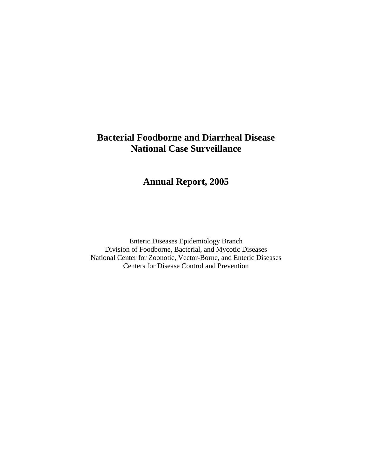# **Bacterial Foodborne and Diarrheal Disease National Case Surveillance**

# **Annual Report, 2005**

Enteric Diseases Epidemiology Branch Division of Foodborne, Bacterial, and Mycotic Diseases National Center for Zoonotic, Vector-Borne, and Enteric Diseases Centers for Disease Control and Prevention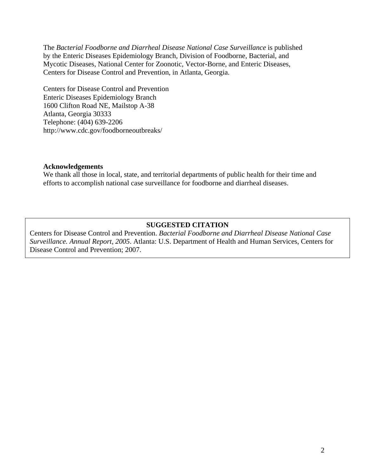The *Bacterial Foodborne and Diarrheal Disease National Case Surveillance* is published by the Enteric Diseases Epidemiology Branch, Division of Foodborne, Bacterial, and Mycotic Diseases, National Center for Zoonotic, Vector-Borne, and Enteric Diseases, Centers for Disease Control and Prevention, in Atlanta, Georgia.

Centers for Disease Control and Prevention Enteric Diseases Epidemiology Branch 1600 Clifton Road NE, Mailstop A-38 Atlanta, Georgia 30333 Telephone: (404) 639-2206 http://www.cdc.gov/foodborneoutbreaks/

#### **Acknowledgements**

We thank all those in local, state, and territorial departments of public health for their time and efforts to accomplish national case surveillance for foodborne and diarrheal diseases.

#### **SUGGESTED CITATION**

Centers for Disease Control and Prevention. *Bacterial Foodborne and Diarrheal Disease National Case Surveillance. Annual Report, 2005*. Atlanta: U.S. Department of Health and Human Services, Centers for Disease Control and Prevention; 2007.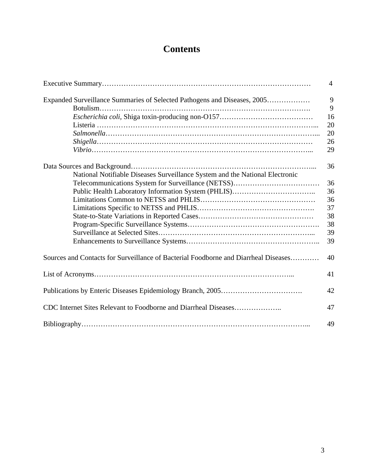# **Contents**

|                                                                                     | $\overline{4}$ |
|-------------------------------------------------------------------------------------|----------------|
| Expanded Surveillance Summaries of Selected Pathogens and Diseases, 2005            | 9              |
|                                                                                     | 9              |
|                                                                                     | 16             |
|                                                                                     | 20             |
|                                                                                     | 20             |
|                                                                                     | 26             |
|                                                                                     | 29             |
|                                                                                     | 36             |
| National Notifiable Diseases Surveillance System and the National Electronic        |                |
|                                                                                     | 36             |
|                                                                                     | 36             |
|                                                                                     | 36             |
|                                                                                     | 37             |
|                                                                                     | 38             |
|                                                                                     | 38             |
|                                                                                     | 39             |
|                                                                                     | 39             |
| Sources and Contacts for Surveillance of Bacterial Foodborne and Diarrheal Diseases | 40             |
|                                                                                     | 41             |
|                                                                                     | 42             |
| CDC Internet Sites Relevant to Foodborne and Diarrheal Diseases                     | 47             |
|                                                                                     | 49             |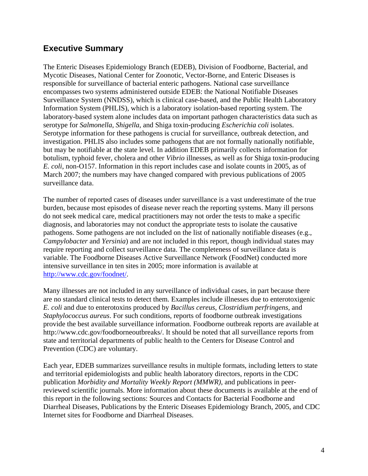# **Executive Summary**

The Enteric Diseases Epidemiology Branch (EDEB), Division of Foodborne, Bacterial, and Mycotic Diseases, National Center for Zoonotic, Vector-Borne, and Enteric Diseases is responsible for surveillance of bacterial enteric pathogens. National case surveillance encompasses two systems administered outside EDEB: the National Notifiable Diseases Surveillance System (NNDSS), which is clinical case-based, and the Public Health Laboratory Information System (PHLIS), which is a laboratory isolation-based reporting system. The laboratory-based system alone includes data on important pathogen characteristics data such as serotype for *Salmonella*, *Shigella*, and Shiga toxin-producing *Escherichia coli* isolates. Serotype information for these pathogens is crucial for surveillance, outbreak detection, and investigation. PHLIS also includes some pathogens that are not formally nationally notifiable, but may be notifiable at the state level. In addition EDEB primarily collects information for botulism, typhoid fever, cholera and other *Vibrio* illnesses, as well as for Shiga toxin-producing *E. coli*, non-O157. Information in this report includes case and isolate counts in 2005, as of March 2007; the numbers may have changed compared with previous publications of 2005 surveillance data.

The number of reported cases of diseases under surveillance is a vast underestimate of the true burden, because most episodes of disease never reach the reporting systems. Many ill persons do not seek medical care, medical practitioners may not order the tests to make a specific diagnosis, and laboratories may not conduct the appropriate tests to isolate the causative pathogens. Some pathogens are not included on the list of nationally notifiable diseases (e.g., *Campylobacter* and *Yersinia*) and are not included in this report, though individual states may require reporting and collect surveillance data. The completeness of surveillance data is variable. The Foodborne Diseases Active Surveillance Network (FoodNet) conducted more intensive surveillance in ten sites in 2005; more information is available at [http://www.cdc.gov/foodnet/.](http://www.cdc.gov/foodnet/)

Many illnesses are not included in any surveillance of individual cases, in part because there are no standard clinical tests to detect them. Examples include illnesses due to enterotoxigenic *E. coli* and due to enterotoxins produced by *Bacillus cereus, Clostridium perfringens,* and *Staphylococcus aureus*. For such conditions, reports of foodborne outbreak investigations provide the best available surveillance information. Foodborne outbreak reports are available at http://www.cdc.gov/foodborneoutbreaks/. It should be noted that all surveillance reports from state and territorial departments of public health to the Centers for Disease Control and Prevention (CDC) are voluntary.

Each year, EDEB summarizes surveillance results in multiple formats, including letters to state and territorial epidemiologists and public health laboratory directors, reports in the CDC publication *Morbidity and Mortality Weekly Report (MMWR)*, and publications in peerreviewed scientific journals. More information about these documents is available at the end of this report in the following sections: Sources and Contacts for Bacterial Foodborne and Diarrheal Diseases, Publications by the Enteric Diseases Epidemiology Branch, 2005, and CDC Internet sites for Foodborne and Diarrheal Diseases.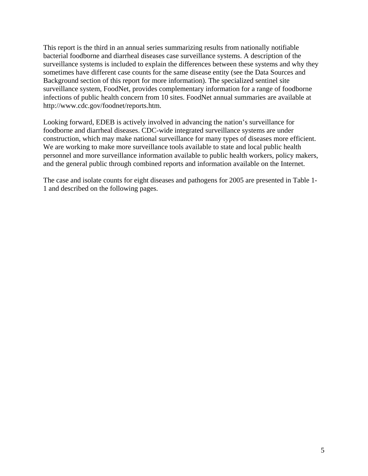This report is the third in an annual series summarizing results from nationally notifiable bacterial foodborne and diarrheal diseases case surveillance systems. A description of the surveillance systems is included to explain the differences between these systems and why they sometimes have different case counts for the same disease entity (see the Data Sources and Background section of this report for more information). The specialized sentinel site surveillance system, FoodNet, provides complementary information for a range of foodborne infections of public health concern from 10 sites. FoodNet annual summaries are available at http://www.cdc.gov/foodnet/reports.htm.

Looking forward, EDEB is actively involved in advancing the nation's surveillance for foodborne and diarrheal diseases. CDC-wide integrated surveillance systems are under construction, which may make national surveillance for many types of diseases more efficient. We are working to make more surveillance tools available to state and local public health personnel and more surveillance information available to public health workers, policy makers, and the general public through combined reports and information available on the Internet.

The case and isolate counts for eight diseases and pathogens for 2005 are presented in Table 1- 1 and described on the following pages.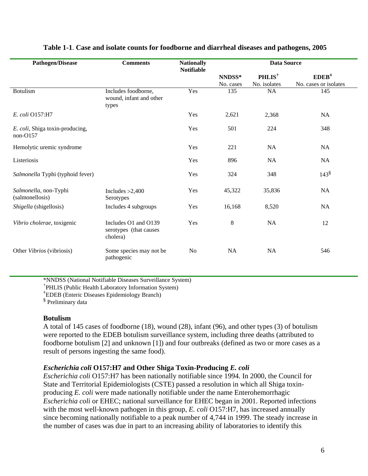| <b>Pathogen/Disease</b>                       | <b>Comments</b>                                            | <b>Nationally</b><br><b>Notifiable</b> |                     | <b>Data Source</b>                 |                                   |
|-----------------------------------------------|------------------------------------------------------------|----------------------------------------|---------------------|------------------------------------|-----------------------------------|
|                                               |                                                            |                                        | NNDSS*<br>No. cases | PHLIS <sup>†</sup><br>No. isolates | $EDEB^+$<br>No. cases or isolates |
| <b>Botulism</b>                               | Includes foodborne,<br>wound, infant and other<br>types    | Yes                                    | 135                 | NA                                 | 145                               |
| E. coli O157:H7                               |                                                            | Yes                                    | 2,621               | 2,368                              | NA                                |
| E. coli, Shiga toxin-producing,<br>$non-O157$ |                                                            | Yes                                    | 501                 | 224                                | 348                               |
| Hemolytic uremic syndrome                     |                                                            | Yes                                    | 221                 | NA                                 | <b>NA</b>                         |
| Listeriosis                                   |                                                            | Yes                                    | 896                 | <b>NA</b>                          | <b>NA</b>                         |
| Salmonella Typhi (typhoid fever)              |                                                            | Yes                                    | 324                 | 348                                | $143^{\frac{5}{2}}$               |
| Salmonella, non-Typhi<br>(salmonellosis)      | Includes $>2,400$<br>Serotypes                             | Yes                                    | 45,322              | 35,836                             | NA                                |
| Shigella (shigellosis)                        | Includes 4 subgroups                                       | Yes                                    | 16,168              | 8,520                              | <b>NA</b>                         |
| Vibrio cholerae, toxigenic                    | Includes O1 and O139<br>serotypes (that causes<br>cholera) | Yes                                    | 8                   | <b>NA</b>                          | 12                                |
| Other Vibrios (vibriosis)                     | Some species may not be<br>pathogenic                      | No                                     | <b>NA</b>           | <b>NA</b>                          | 546                               |

#### **Table 1-1**. **Case and isolate counts for foodborne and diarrheal diseases and pathogens, 2005**

\*NNDSS (National Notifiable Diseases Surveillance System)

† PHLIS (Public Health Laboratory Information System)

‡ EDEB (Enteric Diseases Epidemiology Branch)

<sup>§</sup> Preliminary data

#### **Botulism**

A total of 145 cases of foodborne (18), wound (28), infant (96), and other types (3) of botulism were reported to the EDEB botulism surveillance system, including three deaths (attributed to foodborne botulism [2] and unknown [1]) and four outbreaks (defined as two or more cases as a result of persons ingesting the same food).

# *Escherichia coli* **O157:H7 and Other Shiga Toxin-Producing** *E. coli*

*Escherichia coli* O157:H7 has been nationally notifiable since 1994. In 2000, the Council for State and Territorial Epidemiologists (CSTE) passed a resolution in which all Shiga toxinproducing *E. coli* were made nationally notifiable under the name Enterohemorrhagic *Escherichia coli* or EHEC; national surveillance for EHEC began in 2001. Reported infections with the most well-known pathogen in this group, *E. coli* O157:H7, has increased annually since becoming nationally notifiable to a peak number of 4,744 in 1999. The steady increase in the number of cases was due in part to an increasing ability of laboratories to identify this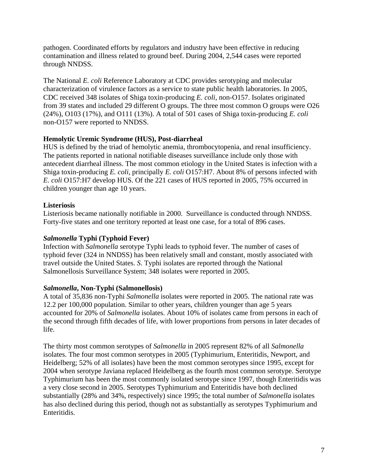pathogen. Coordinated efforts by regulators and industry have been effective in reducing contamination and illness related to ground beef. During 2004, 2,544 cases were reported through NNDSS.

The National *E. coli* Reference Laboratory at CDC provides serotyping and molecular characterization of virulence factors as a service to state public health laboratories. In 2005, CDC received 348 isolates of Shiga toxin-producing *E. coli*, non-O157. Isolates originated from 39 states and included 29 different O groups. The three most common O groups were O26 (24%), O103 (17%), and O111 (13%). A total of 501 cases of Shiga toxin-producing *E. coli*  non-O157 were reported to NNDSS.

# **Hemolytic Uremic Syndrome (HUS), Post-diarrheal**

HUS is defined by the triad of hemolytic anemia, thrombocytopenia, and renal insufficiency. The patients reported in national notifiable diseases surveillance include only those with antecedent diarrheal illness. The most common etiology in the United States is infection with a Shiga toxin-producing *E. coli*, principally *E. coli* O157:H7. About 8% of persons infected with *E. coli* O157:H7 develop HUS. Of the 221 cases of HUS reported in 2005, 75% occurred in children younger than age 10 years.

# **Listeriosis**

Listeriosis became nationally notifiable in 2000. Surveillance is conducted through NNDSS. Forty-five states and one territory reported at least one case, for a total of 896 cases.

# *Salmonella* **Typhi (Typhoid Fever)**

Infection with *Salmonella* serotype Typhi leads to typhoid fever. The number of cases of typhoid fever (324 in NNDSS) has been relatively small and constant, mostly associated with travel outside the United States. *S*. Typhi isolates are reported through the National Salmonellosis Surveillance System; 348 isolates were reported in 2005.

# *Salmonella***, Non-Typhi (Salmonellosis)**

A total of 35,836 non-Typhi *Salmonella* isolates were reported in 2005. The national rate was 12.2 per 100,000 population. Similar to other years, children younger than age 5 years accounted for 20% of *Salmonella* isolates. About 10% of isolates came from persons in each of the second through fifth decades of life, with lower proportions from persons in later decades of life.

The thirty most common serotypes of *Salmonella* in 2005 represent 82% of all *Salmonella*  isolates. The four most common serotypes in 2005 (Typhimurium, Enteritidis, Newport, and Heidelberg; 52% of all isolates) have been the most common serotypes since 1995, except for 2004 when serotype Javiana replaced Heidelberg as the fourth most common serotype. Serotype Typhimurium has been the most commonly isolated serotype since 1997, though Enteritidis was a very close second in 2005. Serotypes Typhimurium and Enteritidis have both declined substantially (28% and 34%, respectively) since 1995; the total number of *Salmonella* isolates has also declined during this period, though not as substantially as serotypes Typhimurium and Enteritidis.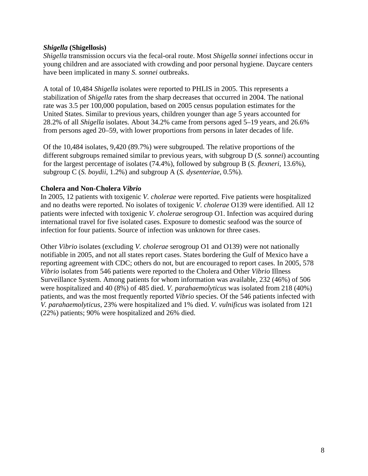### *Shigella* **(Shigellosis)**

*Shigella* transmission occurs via the fecal-oral route. Most *Shigella sonnei* infections occur in young children and are associated with crowding and poor personal hygiene. Daycare centers have been implicated in many *S. sonnei* outbreaks.

A total of 10,484 *Shigella* isolates were reported to PHLIS in 2005. This represents a stabilization of *Shigella* rates from the sharp decreases that occurred in 2004. The national rate was 3.5 per 100,000 population, based on 2005 census population estimates for the United States. Similar to previous years, children younger than age 5 years accounted for 28.2% of all *Shigella* isolates. About 34.2% came from persons aged 5–19 years, and 26.6% from persons aged 20–59, with lower proportions from persons in later decades of life.

Of the 10,484 isolates, 9,420 (89.7%) were subgrouped. The relative proportions of the different subgroups remained similar to previous years, with subgroup D (*S. sonnei*) accounting for the largest percentage of isolates (74.4%), followed by subgroup B (*S. flexneri*, 13.6%), subgroup C (*S. boydii*, 1.2%) and subgroup A (*S. dysenteriae*, 0.5%).

### **Cholera and Non-Cholera** *Vibrio*

In 2005, 12 patients with toxigenic *V. cholerae* were reported. Five patients were hospitalized and no deaths were reported. No isolates of toxigenic *V. cholerae* O139 were identified. All 12 patients were infected with toxigenic *V. cholerae* serogroup O1. Infection was acquired during international travel for five isolated cases. Exposure to domestic seafood was the source of infection for four patients. Source of infection was unknown for three cases.

Other *Vibrio* isolates (excluding *V. cholerae* serogroup O1 and O139) were not nationally notifiable in 2005, and not all states report cases. States bordering the Gulf of Mexico have a reporting agreement with CDC; others do not, but are encouraged to report cases. In 2005, 578 *Vibrio* isolates from 546 patients were reported to the Cholera and Other *Vibrio* Illness Surveillance System. Among patients for whom information was available, 232 (46%) of 506 were hospitalized and 40 (8%) of 485 died. *V. parahaemolyticus* was isolated from 218 (40%) patients, and was the most frequently reported *Vibrio* species. Of the 546 patients infected with *V. parahaemolyticus*, 23% were hospitalized and 1% died. *V. vulnificus* was isolated from 121 (22%) patients; 90% were hospitalized and 26% died.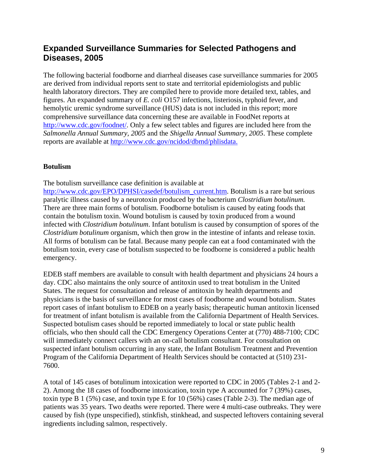# **Expanded Surveillance Summaries for Selected Pathogens and Diseases, 2005**

The following bacterial foodborne and diarrheal diseases case surveillance summaries for 2005 are derived from individual reports sent to state and territorial epidemiologists and public health laboratory directors. They are compiled here to provide more detailed text, tables, and figures. An expanded summary of *E. coli* O157 infections, listeriosis, typhoid fever, and hemolytic uremic syndrome surveillance (HUS) data is not included in this report; more comprehensive surveillance data concerning these are available in FoodNet reports at http://www.cdc.gov/foodnet/. Only a few select tables and figures are included here from the *Salmonella Annual Summary, 2005* and the *Shigella Annual Summary, 2005*. These complete reports are available at [http://www.cdc.gov/ncidod/dbmd/phlisdata.](http://www.cdc.gov/ncidod/dbmd/phlisdata)

# **Botulism**

The botulism surveillance case definition is available at

[http://www.cdc.gov/EPO/DPHSI/casedef/botulism\\_current.htm.](http://www.cdc.gov/EPO/DPHSI/casedef/botulism_current.htm) Botulism is a rare but serious paralytic illness caused by a neurotoxin produced by the bacterium *Clostridium botulinum.*  There are three main forms of botulism. Foodborne botulism is caused by eating foods that contain the botulism toxin. Wound botulism is caused by toxin produced from a wound infected with *Clostridium botulinum*. Infant botulism is caused by consumption of spores of the *Clostridium botulinum* organism, which then grow in the intestine of infants and release toxin. All forms of botulism can be fatal. Because many people can eat a food contaminated with the botulism toxin, every case of botulism suspected to be foodborne is considered a public health emergency.

EDEB staff members are available to consult with health department and physicians 24 hours a day. CDC also maintains the only source of antitoxin used to treat botulism in the United States. The request for consultation and release of antitoxin by health departments and physicians is the basis of surveillance for most cases of foodborne and wound botulism. States report cases of infant botulism to EDEB on a yearly basis; therapeutic human antitoxin licensed for treatment of infant botulism is available from the California Department of Health Services. Suspected botulism cases should be reported immediately to local or state public health officials, who then should call the CDC Emergency Operations Center at (770) 488-7100; CDC will immediately connect callers with an on-call botulism consultant. For consultation on suspected infant botulism occurring in any state, the Infant Botulism Treatment and Prevention Program of the California Department of Health Services should be contacted at (510) 231- 7600.

A total of 145 cases of botulinum intoxication were reported to CDC in 2005 (Tables 2-1 and 2- 2). Among the 18 cases of foodborne intoxication, toxin type A accounted for 7 (39%) cases, toxin type B 1 (5%) case, and toxin type E for 10 (56%) cases (Table 2-3). The median age of patients was 35 years. Two deaths were reported. There were 4 multi-case outbreaks. They were caused by fish (type unspecified), stinkfish, stinkhead, and suspected leftovers containing several ingredients including salmon, respectively.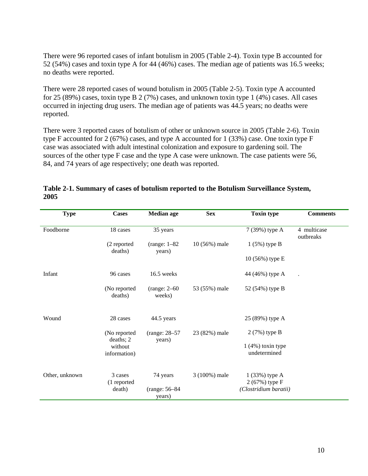There were 96 reported cases of infant botulism in 2005 (Table 2-4). Toxin type B accounted for 52 (54%) cases and toxin type A for 44 (46%) cases. The median age of patients was 16.5 weeks; no deaths were reported.

There were 28 reported cases of wound botulism in 2005 (Table 2-5). Toxin type A accounted for 25 (89%) cases, toxin type B 2 (7%) cases, and unknown toxin type 1 (4%) cases. All cases occurred in injecting drug users. The median age of patients was 44.5 years; no deaths were reported.

There were 3 reported cases of botulism of other or unknown source in 2005 (Table 2-6). Toxin type F accounted for 2 (67%) cases, and type A accounted for 1 (33%) case. One toxin type F case was associated with adult intestinal colonization and exposure to gardening soil. The sources of the other type F case and the type A case were unknown. The case patients were 56, 84, and 74 years of age respectively; one death was reported.

| <b>Type</b>    | <b>Cases</b>              | <b>Median</b> age         | <b>Sex</b>    | <b>Toxin type</b>                   | <b>Comments</b>          |
|----------------|---------------------------|---------------------------|---------------|-------------------------------------|--------------------------|
| Foodborne      | 18 cases                  | 35 years                  |               | 7 (39%) type A                      | 4 multicase<br>outbreaks |
|                | (2 reported<br>deaths)    | $(range: 1-82)$<br>years) | 10 (56%) male | $1(5%)$ type B                      |                          |
|                |                           |                           |               | 10 (56%) type E                     |                          |
| Infant         | 96 cases                  | 16.5 weeks                |               | 44 (46%) type A                     |                          |
|                | (No reported<br>deaths)   | $(range: 2-60$<br>weeks)  | 53 (55%) male | 52 (54%) type B                     |                          |
| Wound          | 28 cases                  | 44.5 years                |               | 25 (89%) type A                     |                          |
|                | (No reported<br>deaths; 2 | (range: 28-57)<br>years)  | 23 (82%) male | 2 (7%) type B                       |                          |
|                | without<br>information)   |                           |               | $1(4\%)$ toxin type<br>undetermined |                          |
| Other, unknown | 3 cases<br>(1 reported    | 74 years                  | 3 (100%) male | $1(33%)$ type A<br>2 (67%) type F   |                          |
|                | death)                    | (range: 56-84)<br>years)  |               | (Clostridium baratii)               |                          |

| Table 2-1. Summary of cases of botulism reported to the Botulism Surveillance System, |  |
|---------------------------------------------------------------------------------------|--|
| 2005                                                                                  |  |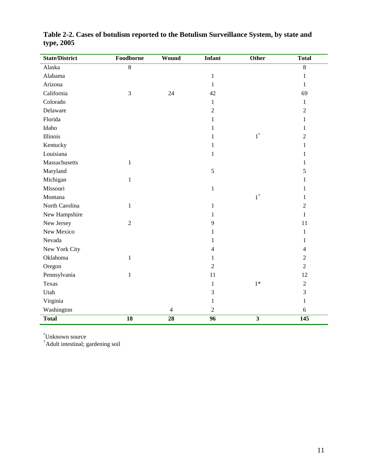| <b>State/District</b> | Foodborne       | Wound           | <b>Infant</b>   | Other                   | <b>Total</b>   |
|-----------------------|-----------------|-----------------|-----------------|-------------------------|----------------|
| Alaska                | $\overline{8}$  |                 |                 |                         | $\overline{8}$ |
| Alabama               |                 |                 | $\,1\,$         |                         | $\mathbf{1}$   |
| Arizona               |                 |                 | $\mathbf{1}$    |                         | $\mathbf{1}$   |
| California            | $\mathfrak{Z}$  | 24              | 42              |                         | 69             |
| Colorado              |                 |                 | $\mathbf{1}$    |                         | $\mathbf{1}$   |
| Delaware              |                 |                 | $\sqrt{2}$      |                         | $\sqrt{2}$     |
| Florida               |                 |                 | 1               |                         | $\mathbf{1}$   |
| Idaho                 |                 |                 | 1               |                         | $\mathbf{1}$   |
| Illinois              |                 |                 | 1               | $1^*$                   | $\overline{c}$ |
| Kentucky              |                 |                 | 1               |                         | 1              |
| Louisiana             |                 |                 | $\,1\,$         |                         | $\mathbf{1}$   |
| Massachusetts         | $\mathbf{1}$    |                 |                 |                         | $\mathbf{1}$   |
| Maryland              |                 |                 | $\sqrt{5}$      |                         | 5              |
| Michigan              | $\mathbf{1}$    |                 |                 |                         | $\mathbf{1}$   |
| Missouri              |                 |                 | $\,1\,$         |                         | 1              |
| Montana               |                 |                 |                 | $1^\dagger$             | 1              |
| North Carolina        | $\mathbf{1}$    |                 | $\mathbf{1}$    |                         | $\overline{2}$ |
| New Hampshire         |                 |                 | $\mathbf{1}$    |                         | $\mathbf{1}$   |
| New Jersey            | $\overline{2}$  |                 | 9               |                         | 11             |
| New Mexico            |                 |                 | 1               |                         | 1              |
| Nevada                |                 |                 | 1               |                         | 1              |
| New York City         |                 |                 | 4               |                         | 4              |
| Oklahoma              | 1               |                 | 1               |                         | $\sqrt{2}$     |
| Oregon                |                 |                 | $\overline{2}$  |                         | $\overline{2}$ |
| Pennsylvania          | 1               |                 | 11              |                         | 12             |
| Texas                 |                 |                 | $\mathbf{1}$    | $1*$                    | $\sqrt{2}$     |
| Utah                  |                 |                 | 3               |                         | 3              |
| Virginia              |                 |                 | 1               |                         | $\mathbf{1}$   |
| Washington            |                 | $\overline{4}$  | $\sqrt{2}$      |                         | $\sqrt{6}$     |
| <b>Total</b>          | $\overline{18}$ | $\overline{28}$ | $\overline{96}$ | $\overline{\mathbf{3}}$ | 145            |

**Table 2-2. Cases of botulism reported to the Botulism Surveillance System, by state and type, 2005** 

\* Unknown source

† Adult intestinal; gardening soil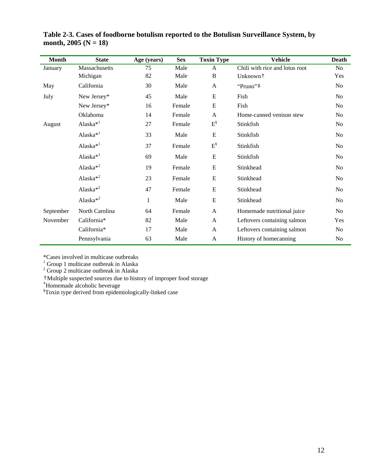| <b>Month</b> | <b>State</b>         | Age (years)  | <b>Sex</b> | <b>Toxin Type</b> | <b>Vehicle</b>                 | <b>Death</b>   |
|--------------|----------------------|--------------|------------|-------------------|--------------------------------|----------------|
| January      | Massachusetts        | 75           | Male       | A                 | Chili with rice and lotus root | N <sub>o</sub> |
|              | Michigan             | 82           | Male       | $\, {\bf B}$      | Unknown <sup>+</sup>           | Yes            |
| May          | California           | 30           | Male       | A                 | "Pruno"#                       | No             |
| July         | New Jersey*          | 45           | Male       | ${\bf E}$         | Fish                           | No             |
|              | New Jersey*          | 16           | Female     | E                 | Fish                           | N <sub>o</sub> |
|              | Oklahoma             | 14           | Female     | $\mathbf{A}$      | Home-canned venison stew       | No             |
| August       | Alaska <sup>*1</sup> | 27           | Female     | $E^{\S}$          | Stinkfish                      | No             |
|              | Alaska <sup>*1</sup> | 33           | Male       | ${\bf E}$         | Stinkfish                      | No             |
|              | Alaska <sup>*1</sup> | 37           | Female     | $E^{\$}$          | Stinkfish                      | N <sub>o</sub> |
|              | Alaska <sup>*1</sup> | 69           | Male       | E                 | Stinkfish                      | N <sub>o</sub> |
|              | Alaska $*^2$         | 19           | Female     | ${\bf E}$         | Stinkhead                      | No             |
|              | Alaska $*^2$         | 23           | Female     | E                 | Stinkhead                      | No             |
|              | Alaska $*^2$         | 47           | Female     | E                 | Stinkhead                      | No             |
|              | Alaska $*^2$         | $\mathbf{1}$ | Male       | ${\bf E}$         | Stinkhead                      | No             |
| September    | North Carolina       | 64           | Female     | A                 | Homemade nutritional juice     | No             |
| November     | California*          | 82           | Male       | A                 | Leftovers containing salmon    | Yes            |
|              | California*          | 17           | Male       | A                 | Leftovers containing salmon    | No             |
|              | Pennsylvania         | 63           | Male       | A                 | History of homecanning         | No             |

**Table 2-3. Cases of foodborne botulism reported to the Botulism Surveillance System, by**  month,  $2005 (N = 18)$ 

\*Cases involved in multicase outbreaks  $\frac{1}{1}$  Group 1 multicase outbreaks in Algebra

 $\frac{1}{2}$  Group 1 multicase outbreak in Alaska  $\frac{2}{2}$  Group 2 multicase outbreak in Alaska

†Multiple suspected sources due to history of improper food storage

‡ Homemade alcoholic beverage § Toxin type derived from epidemiologically-linked case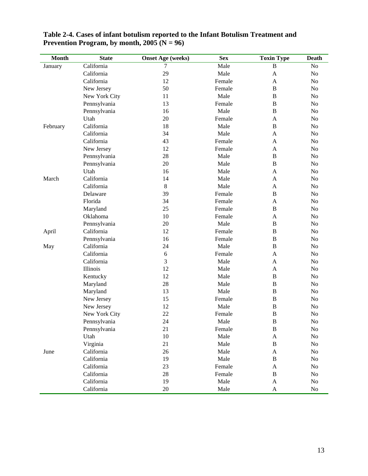| <b>Month</b> | <b>State</b>  | <b>Onset Age (weeks)</b> | <b>Sex</b> | <b>Toxin Type</b> | <b>Death</b>   |
|--------------|---------------|--------------------------|------------|-------------------|----------------|
| January      | California    | 7                        | Male       | B                 | No             |
|              | California    | 29                       | Male       | A                 | N <sub>o</sub> |
|              | California    | 12                       | Female     | A                 | N <sub>o</sub> |
|              | New Jersey    | 50                       | Female     | B                 | N <sub>o</sub> |
|              | New York City | 11                       | Male       | B                 | No             |
|              | Pennsylvania  | 13                       | Female     | $\, {\bf B}$      | N <sub>o</sub> |
|              | Pennsylvania  | 16                       | Male       | B                 | N <sub>o</sub> |
|              | Utah          | 20                       | Female     | A                 | No             |
| February     | California    | 18                       | Male       | B                 | No             |
|              | California    | 34                       | Male       | A                 | No             |
|              | California    | 43                       | Female     | A                 | No             |
|              | New Jersey    | 12                       | Female     | A                 | No             |
|              | Pennsylvania  | 28                       | Male       | B                 | N <sub>o</sub> |
|              | Pennsylvania  | 20                       | Male       | B                 | N <sub>o</sub> |
|              | Utah          | 16                       | Male       | A                 | N <sub>o</sub> |
| March        | California    | 14                       | Male       | A                 | N <sub>o</sub> |
|              | California    | $\,8\,$                  | Male       | A                 | No             |
|              | Delaware      | 39                       | Female     | $\, {\bf B}$      | N <sub>o</sub> |
|              | Florida       | 34                       | Female     | A                 | No             |
|              | Maryland      | 25                       | Female     | B                 | No             |
|              | Oklahoma      | 10                       | Female     | A                 | No             |
|              | Pennsylvania  | 20                       | Male       | B                 | No             |
| April        | California    | 12                       | Female     | B                 | No             |
|              | Pennsylvania  | 16                       | Female     | $\, {\bf B}$      | No             |
| May          | California    | 24                       | Male       | B                 | No             |
|              | California    | $\sqrt{6}$               | Female     | A                 | N <sub>o</sub> |
|              | California    | 3                        | Male       | A                 | N <sub>o</sub> |
|              | Illinois      | 12                       | Male       | A                 | N <sub>o</sub> |
|              | Kentucky      | 12                       | Male       | B                 | N <sub>o</sub> |
|              | Maryland      | 28                       | Male       | $\, {\bf B}$      | No             |
|              | Maryland      | 13                       | Male       | B                 | No.            |
|              | New Jersey    | 15                       | Female     | $\, {\bf B}$      | No             |
|              | New Jersey    | 12                       | Male       | $\, {\bf B}$      | No             |
|              | New York City | 22                       | Female     | $\, {\bf B}$      | No             |
|              | Pennsylvania  | 24                       | Male       | B                 | N <sub>o</sub> |
|              | Pennsylvania  | 21                       | Female     | $\, {\bf B}$      | $\rm No$       |
|              | Utah          | 10                       | Male       | A                 | $\rm No$       |
|              | Virginia      | 21                       | Male       | B                 | No             |
| June         | California    | 26                       | Male       | $\mathbf{A}$      | No             |
|              | California    | 19                       | Male       | B                 | No             |
|              | California    | 23                       | Female     | $\mathbf{A}$      | No             |
|              | California    | 28                       | Female     | B                 | No             |
|              | California    | 19                       | Male       | A                 | No             |
|              | California    | 20                       | Male       | A                 | No             |

#### **Table 2-4. Cases of infant botulism reported to the Infant Botulism Treatment and Prevention Program, by month, 2005 (N = 96)**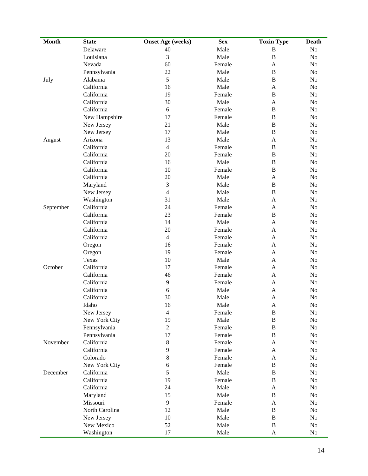| <b>Month</b> | <b>State</b>   | <b>Onset Age (weeks)</b> | <b>Sex</b> | <b>Toxin Type</b> | Death          |
|--------------|----------------|--------------------------|------------|-------------------|----------------|
|              | Delaware       | 40                       | Male       | $\, {\bf B}$      | No             |
|              | Louisiana      | 3                        | Male       | $\, {\bf B}$      | No             |
|              | Nevada         | 60                       | Female     | A                 | No             |
|              | Pennsylvania   | 22                       | Male       | $\, {\bf B}$      | No             |
| July         | Alabama        | 5                        | Male       | $\, {\bf B}$      | No             |
|              | California     | 16                       | Male       | A                 | No             |
|              | California     | 19                       | Female     | $\bf{B}$          | No             |
|              | California     | 30                       | Male       | A                 | No             |
|              | California     | 6                        | Female     | $\, {\bf B}$      | No             |
|              | New Hampshire  | 17                       | Female     | $\bf{B}$          | No             |
|              | New Jersey     | 21                       | Male       | $\, {\bf B}$      | No             |
|              | New Jersey     | 17                       | Male       | $\, {\bf B}$      | No             |
| August       | Arizona        | 13                       | Male       | A                 | No             |
|              | California     | $\overline{4}$           | Female     | $\bf{B}$          | N <sub>o</sub> |
|              | California     | 20                       | Female     | $\, {\bf B}$      | No             |
|              | California     | 16                       | Male       | $\, {\bf B}$      | No             |
|              | California     | 10                       | Female     | $\, {\bf B}$      | No             |
|              | California     | 20                       | Male       | A                 | No             |
|              | Maryland       | 3                        | Male       | $\, {\bf B}$      | No             |
|              | New Jersey     | $\overline{4}$           | Male       | $\, {\bf B}$      | No             |
|              | Washington     | 31                       | Male       | A                 | No             |
| September    | California     | 24                       | Female     | A                 | No             |
|              | California     | 23                       | Female     | $\, {\bf B}$      | No             |
|              | California     | 14                       | Male       | A                 | No             |
|              | California     | 20                       | Female     | A                 | No             |
|              | California     | $\overline{4}$           | Female     | A                 | No             |
|              | Oregon         | 16                       | Female     | A                 | No             |
|              | Oregon         | 19                       | Female     | A                 | No             |
|              | Texas          | 10                       | Male       | A                 | No             |
| October      | California     | 17                       | Female     | A                 | No             |
|              | California     | 46                       | Female     | A                 | No             |
|              | California     | 9                        | Female     | A                 | No             |
|              | California     | 6                        | Male       | A                 | No             |
|              | California     | 30                       | Male       | A                 | No             |
|              | Idaho          | 16                       | Male       | A                 | No             |
|              | New Jersey     | 4                        | Female     | B                 | No             |
|              | New York City  | 19                       | Male       | $\, {\bf B}$      | No             |
|              | Pennsylvania   | $\sqrt{2}$               | Female     | $\bf{B}$          | No             |
|              | Pennsylvania   | 17                       | Female     | $\, {\bf B}$      | No             |
| November     | California     | $8\,$                    | Female     | A                 | No             |
|              | California     | 9                        | Female     | A                 | No             |
|              | Colorado       | $8\,$                    | Female     | A                 | No             |
|              | New York City  | 6                        | Female     | $\bf{B}$          | No             |
| December     | California     | 5                        | Male       | $\, {\bf B}$      | No             |
|              | California     | 19                       |            | $\, {\bf B}$      |                |
|              | California     | 24                       | Female     |                   | No             |
|              |                |                          | Male       | A                 | No             |
|              | Maryland       | 15                       | Male       | $\, {\bf B}$      | No             |
|              | Missouri       | 9                        | Female     | A                 | No             |
|              | North Carolina | 12                       | Male       | $\, {\bf B}$      | No             |
|              | New Jersey     | 10                       | Male       | $\bf{B}$          | No             |
|              | New Mexico     | 52                       | Male       | $\, {\bf B}$      | No             |
|              | Washington     | 17                       | Male       | A                 | No             |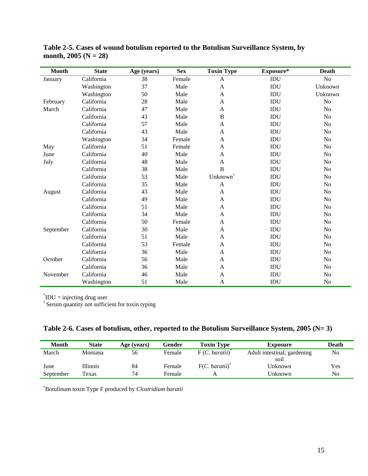| <b>Month</b> | <b>State</b> | Age (years) | <b>Sex</b> | <b>Toxin Type</b>    | Exposure* | <b>Death</b>   |
|--------------|--------------|-------------|------------|----------------------|-----------|----------------|
| January      | California   | 38          | Female     | A                    | IDU       | N <sub>o</sub> |
|              | Washington   | 37          | Male       | $\mathbf{A}$         | IDU       | Unknown        |
|              | Washington   | 50          | Male       | A                    | IDU       | Unknown        |
| February     | California   | 28          | Male       | $\mathbf{A}$         | IDU       | No             |
| March        | California   | 47          | Male       | A                    | IDU       | N <sub>o</sub> |
|              | California   | 43          | Male       | B                    | IDU       | No             |
|              | California   | 57          | Male       | A                    | IDU       | No             |
|              | California   | 43          | Male       | $\mathbf{A}$         | IDU       | No             |
|              | Washington   | 34          | Female     | A                    | IDU       | No             |
| May          | California   | 51          | Female     | A                    | IDU       | No             |
| June         | California   | 40          | Male       | A                    | IDU       | No             |
| July         | California   | 48          | Male       | A                    | IDU       | No             |
|              | California   | 38          | Male       | B                    | IDU       | N <sub>o</sub> |
|              | California   | 53          | Male       | Unknown <sup>†</sup> | IDU       | No             |
|              | California   | 35          | Male       | $\mathbf{A}$         | IDU       | No             |
| August       | California   | 43          | Male       | A                    | IDU       | No             |
|              | California   | 49          | Male       | $\mathbf{A}$         | IDU       | No             |
|              | California   | 51          | Male       | A                    | IDU       | No             |
|              | California   | 34          | Male       | A                    | IDU       | No             |
|              | California   | 50          | Female     | A                    | IDU       | No             |
| September    | California   | 30          | Male       | A                    | IDU       | N <sub>o</sub> |
|              | California   | 51          | Male       | A                    | IDU       | No             |
|              | California   | 53          | Female     | A                    | IDU       | N <sub>o</sub> |
|              | California   | 36          | Male       | $\mathbf{A}$         | IDU       | N <sub>o</sub> |
| October      | California   | 56          | Male       | A                    | IDU       | No             |
|              | California   | 36          | Male       | $\mathbf{A}$         | IDU       | N <sub>o</sub> |
| November     | California   | 46          | Male       | A                    | IDU       | N <sub>o</sub> |
|              | Washington   | 51          | Male       | A                    | IDU       | N <sub>o</sub> |

**Table 2-5. Cases of wound botulism reported to the Botulism Surveillance System, by month, 2005 (N = 28)** 

\* IDU = injecting drug user

† Serum quantity not sufficient for toxin typing

|  | Table 2-6. Cases of botulism, other, reported to the Botulism Surveillance System, 2005 ( $N=3$ ) |  |  |  |  |  |
|--|---------------------------------------------------------------------------------------------------|--|--|--|--|--|
|  |                                                                                                   |  |  |  |  |  |

| <b>Month</b> | <b>State</b> | Age (years) | Gender | <b>Toxin Type</b> | Exposure                    | Death |
|--------------|--------------|-------------|--------|-------------------|-----------------------------|-------|
| March        | Montana      | 56          | Female | F(C. baratii)     | Adult intestinal; gardening | No    |
|              |              |             |        |                   | soil                        |       |
| June         | Illinois     | 84          | Female | F(C. baratii)     | Unknown                     | Yes   |
| September    | Texas        | 74          | Female |                   | Unknown                     | No    |

\* Botulinum toxin Type F produced by *Clostridium baratii*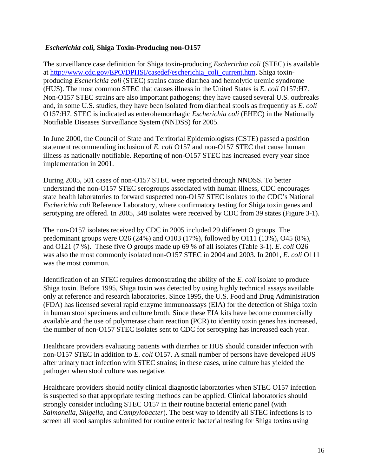### *Escherichia coli,* **Shiga Toxin-Producing non-O157**

The surveillance case definition for Shiga toxin-producing *Escherichia coli* (STEC) is available at [http://www.cdc.gov/EPO/DPHSI/casedef/escherichia\\_coli\\_current.htm](http://www.cdc.gov/EPO/DPHSI/casedef/escherichia_coli_current.htm). Shiga toxinproducing *Escherichia coli* (STEC) strains cause diarrhea and hemolytic uremic syndrome (HUS). The most common STEC that causes illness in the United States is *E. coli* O157:H7. Non-O157 STEC strains are also important pathogens; they have caused several U.S. outbreaks and, in some U.S. studies, they have been isolated from diarrheal stools as frequently as *E. coli*  O157:H7. STEC is indicated as enterohemorrhagic *Escherichia coli* (EHEC) in the Nationally Notifiable Diseases Surveillance System (NNDSS) for 2005.

In June 2000, the Council of State and Territorial Epidemiologists (CSTE) passed a position statement recommending inclusion of *E. coli* O157 and non-O157 STEC that cause human illness as nationally notifiable. Reporting of non-O157 STEC has increased every year since implementation in 2001.

During 2005, 501 cases of non-O157 STEC were reported through NNDSS. To better understand the non-O157 STEC serogroups associated with human illness, CDC encourages state health laboratories to forward suspected non-O157 STEC isolates to the CDC's National *Escherichia coli* Reference Laboratory, where confirmatory testing for Shiga toxin genes and serotyping are offered. In 2005, 348 isolates were received by CDC from 39 states (Figure 3-1).

The non-O157 isolates received by CDC in 2005 included 29 different O groups. The predominant groups were O26 (24%) and O103 (17%), followed by O111 (13%), O45 (8%), and O121 (7 %). These five O groups made up 69 % of all isolates (Table 3-1). *E. coli* O26 was also the most commonly isolated non-O157 STEC in 2004 and 2003. In 2001, *E. coli* O111 was the most common.

Identification of an STEC requires demonstrating the ability of the *E. coli* isolate to produce Shiga toxin. Before 1995, Shiga toxin was detected by using highly technical assays available only at reference and research laboratories. Since 1995, the U.S. Food and Drug Administration (FDA) has licensed several rapid enzyme immunoassays (EIA) for the detection of Shiga toxin in human stool specimens and culture broth. Since these EIA kits have become commercially available and the use of polymerase chain reaction (PCR) to identity toxin genes has increased, the number of non-O157 STEC isolates sent to CDC for serotyping has increased each year.

Healthcare providers evaluating patients with diarrhea or HUS should consider infection with non-O157 STEC in addition to *E. coli* O157. A small number of persons have developed HUS after urinary tract infection with STEC strains; in these cases, urine culture has yielded the pathogen when stool culture was negative.

Healthcare providers should notify clinical diagnostic laboratories when STEC O157 infection is suspected so that appropriate testing methods can be applied. Clinical laboratories should strongly consider including STEC O157 in their routine bacterial enteric panel (with *Salmonella*, *Shigella*, and *Campylobacter*). The best way to identify all STEC infections is to screen all stool samples submitted for routine enteric bacterial testing for Shiga toxins using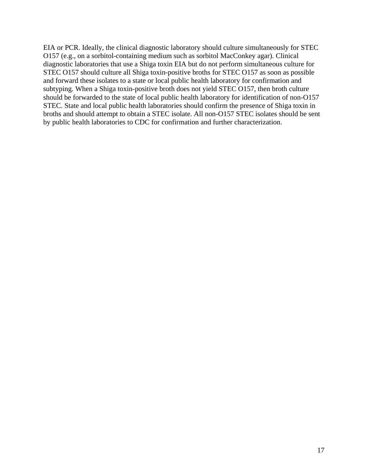EIA or PCR. Ideally, the clinical diagnostic laboratory should culture simultaneously for STEC O157 (e.g., on a sorbitol-containing medium such as sorbitol MacConkey agar). Clinical diagnostic laboratories that use a Shiga toxin EIA but do not perform simultaneous culture for STEC O157 should culture all Shiga toxin-positive broths for STEC O157 as soon as possible and forward these isolates to a state or local public health laboratory for confirmation and subtyping. When a Shiga toxin-positive broth does not yield STEC O157, then broth culture should be forwarded to the state of local public health laboratory for identification of non-O157 STEC. State and local public health laboratories should confirm the presence of Shiga toxin in broths and should attempt to obtain a STEC isolate. All non-O157 STEC isolates should be sent by public health laboratories to CDC for confirmation and further characterization.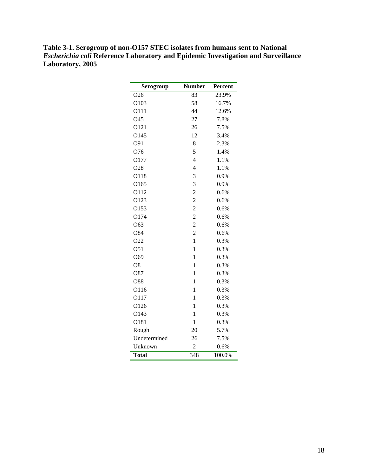| Table 3-1. Serogroup of non-O157 STEC isolates from humans sent to National              |
|------------------------------------------------------------------------------------------|
| <i>Escherichia coli</i> Reference Laboratory and Epidemic Investigation and Surveillance |
| <b>Laboratory, 2005</b>                                                                  |

| Serogroup       | <b>Number</b>  | Percent |
|-----------------|----------------|---------|
| O <sub>26</sub> | 83             | 23.9%   |
| O103            | 58             | 16.7%   |
| O111            | 44             | 12.6%   |
| O45             | 27             | 7.8%    |
| O121            | 26             | 7.5%    |
| O145            | 12             | 3.4%    |
| O91             | 8              | 2.3%    |
| O76             | 5              | 1.4%    |
| O177            | $\overline{4}$ | 1.1%    |
| O28             | 4              | 1.1%    |
| O118            | 3              | 0.9%    |
| O165            | 3              | 0.9%    |
| O112            | $\overline{2}$ | 0.6%    |
| O123            | $\overline{2}$ | 0.6%    |
| O153            | $\overline{c}$ | 0.6%    |
| O174            | $\overline{c}$ | 0.6%    |
| O63             | $\overline{c}$ | 0.6%    |
| O84             | $\overline{2}$ | 0.6%    |
| O22             | $\mathbf{1}$   | 0.3%    |
| O51             | 1              | 0.3%    |
| O69             | $\mathbf{1}$   | 0.3%    |
| O <sub>8</sub>  | $\mathbf{1}$   | 0.3%    |
| O87             | 1              | 0.3%    |
| O88             | $\mathbf{1}$   | 0.3%    |
| O116            | $\mathbf{1}$   | 0.3%    |
| O117            | $\mathbf{1}$   | 0.3%    |
| O126            | 1              | 0.3%    |
| O143            | $\mathbf{1}$   | 0.3%    |
| O181            | $\mathbf{1}$   | 0.3%    |
| Rough           | 20             | 5.7%    |
| Undetermined    | 26             | 7.5%    |
| Unknown         | $\overline{2}$ | 0.6%    |
| <b>Total</b>    | 348            | 100.0%  |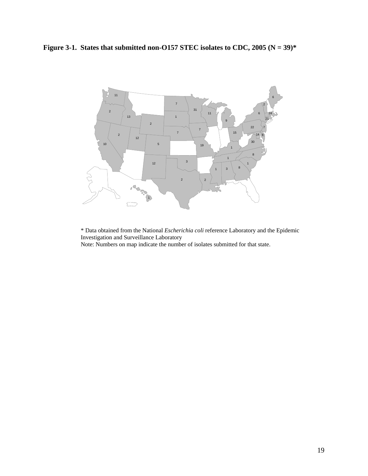Figure 3-1. States that submitted non-O157 STEC isolates to CDC, 2005  $(N = 39)^*$ 



\* Data obtained from the National *Escherichia coli* reference Laboratory and the Epidemic Investigation and Surveillance Laboratory

Note: Numbers on map indicate the number of isolates submitted for that state.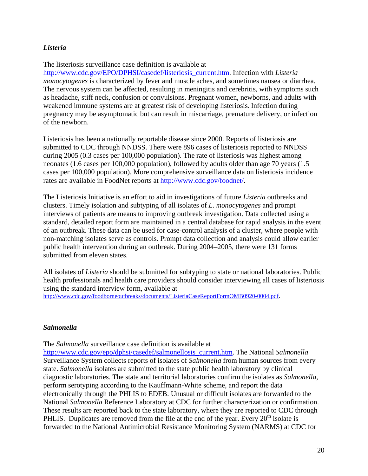# *Listeria*

#### The listeriosis surveillance case definition is available at

[http://www.cdc.gov/EPO/DPHSI/casedef/listeriosis\\_current.htm.](http://www.cdc.gov/EPO/DPHSI/casedef/listeriosis_current.htm) Infection with *Listeria monocytogenes* is characterized by fever and muscle aches, and sometimes nausea or diarrhea. The nervous system can be affected, resulting in meningitis and cerebritis, with symptoms such as headache, stiff neck, confusion or convulsions. Pregnant women, newborns, and adults with weakened immune systems are at greatest risk of developing listeriosis. Infection during pregnancy may be asymptomatic but can result in miscarriage, premature delivery, or infection of the newborn.

Listeriosis has been a nationally reportable disease since 2000. Reports of listeriosis are submitted to CDC through NNDSS. There were 896 cases of listeriosis reported to NNDSS during 2005 (0.3 cases per 100,000 population). The rate of listeriosis was highest among neonates (1.6 cases per 100,000 population), followed by adults older than age 70 years (1.5 cases per 100,000 population). More comprehensive surveillance data on listeriosis incidence rates are available in FoodNet reports at http://www.cdc.gov/foodnet/.

The Listeriosis Initiative is an effort to aid in investigations of future *Listeria* outbreaks and clusters. Timely isolation and subtyping of all isolates of *L. monocytogenes* and prompt interviews of patients are means to improving outbreak investigation. Data collected using a standard, detailed report form are maintained in a central database for rapid analysis in the event of an outbreak. These data can be used for case-control analysis of a cluster, where people with non-matching isolates serve as controls. Prompt data collection and analysis could allow earlier public health intervention during an outbreak. During 2004–2005, there were 131 forms submitted from eleven states.

All isolates of *Listeria* should be submitted for subtyping to state or national laboratories. Public health professionals and health care providers should consider interviewing all cases of listeriosis using the standard interview form, available at [http://www.cdc.gov/foodborneoutbreaks/documents/ListeriaCaseReportFormOMB0920-0004.pdf.](http://www.cdc.gov/foodborneoutbreaks/documents/ListeriaCaseReportFormOMB0920-0004.pdf)

# *Salmonella*

The *Salmonella* surveillance case definition is available at

http://www.cdc.gov/epo/dphsi/casedef/salmonellosis\_current.htm. The National *Salmonella*  Surveillance System collects reports of isolates of *Salmonella* from human sources from every state. *Salmonella* isolates are submitted to the state public health laboratory by clinical diagnostic laboratories. The state and territorial laboratories confirm the isolates as *Salmonella,*  perform serotyping according to the Kauffmann-White scheme, and report the data electronically through the PHLIS to EDEB. Unusual or difficult isolates are forwarded to the National *Salmonella* Reference Laboratory at CDC for further characterization or confirmation. These results are reported back to the state laboratory, where they are reported to CDC through PHLIS. Duplicates are removed from the file at the end of the year. Every  $20<sup>th</sup>$  isolate is forwarded to the National Antimicrobial Resistance Monitoring System (NARMS) at CDC for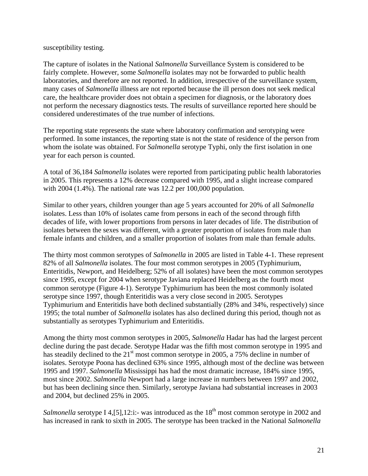susceptibility testing.

The capture of isolates in the National *Salmonella* Surveillance System is considered to be fairly complete. However, some *Salmonella* isolates may not be forwarded to public health laboratories, and therefore are not reported. In addition, irrespective of the surveillance system, many cases of *Salmonella* illness are not reported because the ill person does not seek medical care, the healthcare provider does not obtain a specimen for diagnosis, or the laboratory does not perform the necessary diagnostics tests. The results of surveillance reported here should be considered underestimates of the true number of infections.

The reporting state represents the state where laboratory confirmation and serotyping were performed. In some instances, the reporting state is not the state of residence of the person from whom the isolate was obtained. For *Salmonella* serotype Typhi, only the first isolation in one year for each person is counted.

A total of 36,184 *Salmonella* isolates were reported from participating public health laboratories in 2005. This represents a 12% decrease compared with 1995, and a slight increase compared with 2004 (1.4%). The national rate was 12.2 per 100,000 population.

Similar to other years, children younger than age 5 years accounted for 20% of all *Salmonella*  isolates. Less than 10% of isolates came from persons in each of the second through fifth decades of life, with lower proportions from persons in later decades of life. The distribution of isolates between the sexes was different, with a greater proportion of isolates from male than female infants and children, and a smaller proportion of isolates from male than female adults.

The thirty most common serotypes of *Salmonella* in 2005 are listed in Table 4-1. These represent 82% of all *Salmonella* isolates. The four most common serotypes in 2005 (Typhimurium, Enteritidis, Newport, and Heidelberg; 52% of all isolates) have been the most common serotypes since 1995, except for 2004 when serotype Javiana replaced Heidelberg as the fourth most common serotype (Figure 4-1). Serotype Typhimurium has been the most commonly isolated serotype since 1997, though Enteritidis was a very close second in 2005. Serotypes Typhimurium and Enteritidis have both declined substantially (28% and 34%, respectively) since 1995; the total number of *Salmonella* isolates has also declined during this period, though not as substantially as serotypes Typhimurium and Enteritidis.

Among the thirty most common serotypes in 2005, *Salmonella* Hadar has had the largest percent decline during the past decade. Serotype Hadar was the fifth most common serotype in 1995 and has steadily declined to the  $21<sup>st</sup>$  most common serotype in 2005, a 75% decline in number of isolates. Serotype Poona has declined 63% since 1995, although most of the decline was between 1995 and 1997. *Salmonella* Mississippi has had the most dramatic increase, 184% since 1995, most since 2002. *Salmonella* Newport had a large increase in numbers between 1997 and 2002, but has been declining since then. Similarly, serotype Javiana had substantial increases in 2003 and 2004, but declined 25% in 2005.

*Salmonella* serotype I 4, [5], 12: i:- was introduced as the 18<sup>th</sup> most common serotype in 2002 and has increased in rank to sixth in 2005. The serotype has been tracked in the National *Salmonella*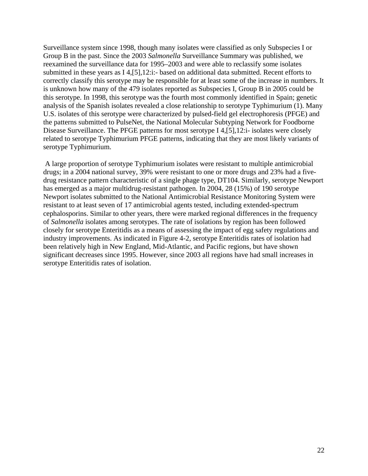Surveillance system since 1998, though many isolates were classified as only Subspecies I or Group B in the past. Since the 2003 *Salmonella* Surveillance Summary was published, we reexamined the surveillance data for 1995–2003 and were able to reclassify some isolates submitted in these years as I 4,[5],12:i:- based on additional data submitted. Recent efforts to correctly classify this serotype may be responsible for at least some of the increase in numbers. It is unknown how many of the 479 isolates reported as Subspecies I, Group B in 2005 could be this serotype. In 1998, this serotype was the fourth most commonly identified in Spain; genetic analysis of the Spanish isolates revealed a close relationship to serotype Typhimurium (1). Many U.S. isolates of this serotype were characterized by pulsed-field gel electrophoresis (PFGE) and the patterns submitted to PulseNet, the National Molecular Subtyping Network for Foodborne Disease Surveillance. The PFGE patterns for most serotype I 4,[5],12:i- isolates were closely related to serotype Typhimurium PFGE patterns, indicating that they are most likely variants of serotype Typhimurium.

 A large proportion of serotype Typhimurium isolates were resistant to multiple antimicrobial drugs; in a 2004 national survey, 39% were resistant to one or more drugs and 23% had a fivedrug resistance pattern characteristic of a single phage type, DT104. Similarly, serotype Newport has emerged as a major multidrug-resistant pathogen. In 2004, 28 (15%) of 190 serotype Newport isolates submitted to the National Antimicrobial Resistance Monitoring System were resistant to at least seven of 17 antimicrobial agents tested, including extended-spectrum cephalosporins. Similar to other years, there were marked regional differences in the frequency of *Salmonella* isolates among serotypes. The rate of isolations by region has been followed closely for serotype Enteritidis as a means of assessing the impact of egg safety regulations and industry improvements. As indicated in Figure 4-2, serotype Enteritidis rates of isolation had been relatively high in New England, Mid-Atlantic, and Pacific regions, but have shown significant decreases since 1995. However, since 2003 all regions have had small increases in serotype Enteritidis rates of isolation.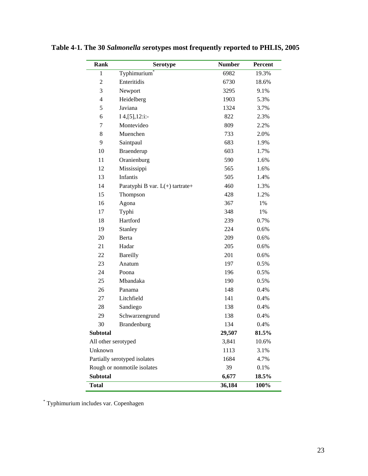| <b>Rank</b>         | <b>Serotype</b>                 | <b>Number</b> | Percent |
|---------------------|---------------------------------|---------------|---------|
| $\mathbf{1}$        | Typhimurium                     | 6982          | 19.3%   |
| $\overline{2}$      | Enteritidis                     | 6730          | 18.6%   |
| 3                   | Newport                         | 3295          | 9.1%    |
| $\overline{4}$      | Heidelberg                      | 1903          | 5.3%    |
| 5                   | Javiana                         | 1324          | 3.7%    |
| 6                   | $I$ 4, [5], 12:i:-              | 822           | 2.3%    |
| 7                   | Montevideo                      | 809           | 2.2%    |
| $8\,$               | Muenchen                        | 733           | 2.0%    |
| 9                   | Saintpaul                       | 683           | 1.9%    |
| 10                  | Braenderup                      | 603           | 1.7%    |
| 11                  | Oranienburg                     | 590           | 1.6%    |
| 12                  | Mississippi                     | 565           | 1.6%    |
| 13                  | Infantis                        | 505           | 1.4%    |
| 14                  | Paratyphi B var. L(+) tartrate+ | 460           | 1.3%    |
| 15                  | Thompson                        | 428           | 1.2%    |
| 16                  | Agona                           | 367           | 1%      |
| 17                  | Typhi                           | 348           | 1%      |
| 18                  | Hartford                        | 239           | 0.7%    |
| 19                  | Stanley                         | 224           | 0.6%    |
| 20                  | Berta                           | 209           | 0.6%    |
| 21                  | Hadar                           | 205           | 0.6%    |
| 22                  | <b>Bareilly</b>                 | 201           | 0.6%    |
| 23                  | Anatum                          | 197           | 0.5%    |
| 24                  | Poona                           | 196           | 0.5%    |
| 25                  | Mbandaka                        | 190           | 0.5%    |
| 26                  | Panama                          | 148           | 0.4%    |
| 27                  | Litchfield                      | 141           | 0.4%    |
| 28                  | Sandiego                        | 138           | 0.4%    |
| 29                  | Schwarzengrund                  | 138           | 0.4%    |
| 30                  | Brandenburg                     | 134           | 0.4%    |
| <b>Subtotal</b>     |                                 | 29,507        | 81.5%   |
| All other serotyped |                                 | 3,841         | 10.6%   |
| Unknown             |                                 | 1113          | 3.1%    |
|                     | Partially serotyped isolates    | 1684          | 4.7%    |
|                     | Rough or nonmotile isolates     | 39            | 0.1%    |
| <b>Subtotal</b>     |                                 | 6,677         | 18.5%   |
| <b>Total</b>        |                                 | 36,184        | 100%    |

**Table 4-1. The 30** *Salmonella s***erotypes most frequently reported to PHLIS, 2005** 

\* Typhimurium includes var. Copenhagen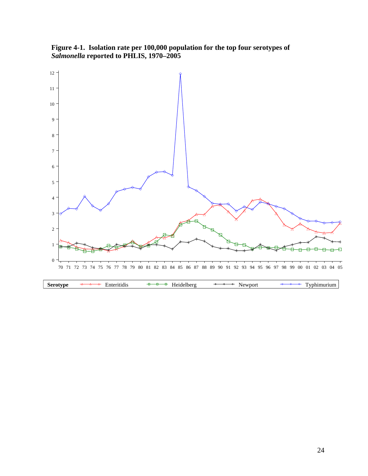**Figure 4-1. Isolation rate per 100,000 population for the top four serotypes of**  *Salmonella* **reported to PHLIS, 1970–2005** 

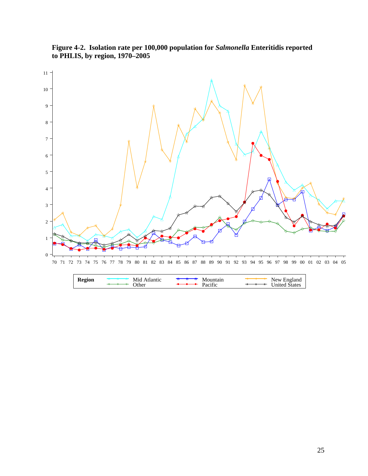

**Figure 4-2. Isolation rate per 100,000 population for** *Salmonella* **Enteritidis reported to PHLIS, by region, 1970–2005**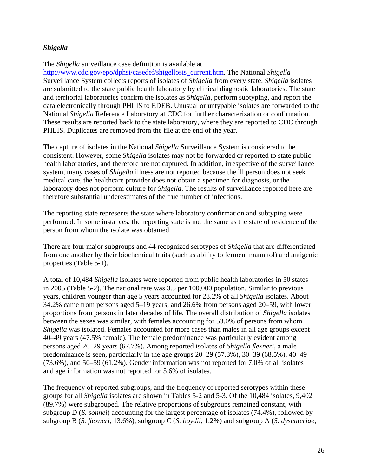# *Shigella*

#### The *Shigella* surveillance case definition is available at

[http://www.cdc.gov/epo/dphsi/casedef/shigellosis\\_current.htm](http://www.cdc.gov/epo/dphsi/casedef/shigellosis_current.htm). The National *Shigella*  Surveillance System collects reports of isolates of *Shigella* from every state. *Shigella* isolates are submitted to the state public health laboratory by clinical diagnostic laboratories. The state and territorial laboratories confirm the isolates as *Shigella,* perform subtyping, and report the data electronically through PHLIS to EDEB. Unusual or untypable isolates are forwarded to the National *Shigella* Reference Laboratory at CDC for further characterization or confirmation. These results are reported back to the state laboratory, where they are reported to CDC through PHLIS. Duplicates are removed from the file at the end of the year.

The capture of isolates in the National *Shigella* Surveillance System is considered to be consistent. However, some *Shigella* isolates may not be forwarded or reported to state public health laboratories, and therefore are not captured. In addition, irrespective of the surveillance system, many cases of *Shigella* illness are not reported because the ill person does not seek medical care, the healthcare provider does not obtain a specimen for diagnosis, or the laboratory does not perform culture for *Shigella*. The results of surveillance reported here are therefore substantial underestimates of the true number of infections.

The reporting state represents the state where laboratory confirmation and subtyping were performed. In some instances, the reporting state is not the same as the state of residence of the person from whom the isolate was obtained.

There are four major subgroups and 44 recognized serotypes of *Shigella* that are differentiated from one another by their biochemical traits (such as ability to ferment mannitol) and antigenic properties (Table 5-1).

A total of 10,484 *Shigella* isolates were reported from public health laboratories in 50 states in 2005 (Table 5-2). The national rate was 3.5 per 100,000 population. Similar to previous years, children younger than age 5 years accounted for 28.2% of all *Shigella* isolates. About 34.2% came from persons aged 5–19 years, and 26.6% from persons aged 20–59, with lower proportions from persons in later decades of life. The overall distribution of *Shigella* isolates between the sexes was similar, with females accounting for 53.0% of persons from whom *Shigella* was isolated. Females accounted for more cases than males in all age groups except 40–49 years (47.5% female). The female predominance was particularly evident among persons aged 20–29 years (67.7%). Among reported isolates of *Shigella flexneri*, a male predominance is seen, particularly in the age groups 20–29 (57.3%), 30–39 (68.5%), 40–49 (73.6%), and 50–59 (61.2%). Gender information was not reported for 7.0% of all isolates and age information was not reported for 5.6% of isolates.

The frequency of reported subgroups, and the frequency of reported serotypes within these groups for all *Shigella* isolates are shown in Tables 5-2 and 5-3. Of the 10,484 isolates, 9,402 (89.7%) were subgrouped. The relative proportions of subgroups remained constant, with subgroup D (*S. sonnei*) accounting for the largest percentage of isolates (74.4%), followed by subgroup B (*S. flexneri*, 13.6%), subgroup C (*S. boydii*, 1.2%) and subgroup A (*S. dysenteriae*,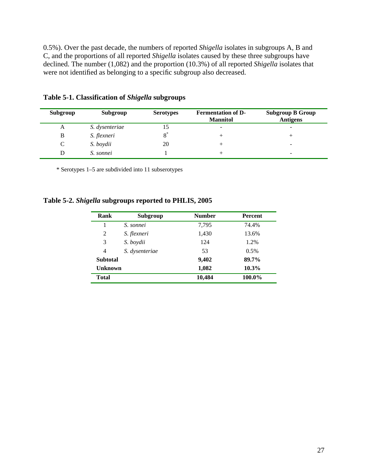0.5%). Over the past decade, the numbers of reported *Shigella* isolates in subgroups A, B and C, and the proportions of all reported *Shigella* isolates caused by these three subgroups have declined. The number (1,082) and the proportion (10.3%) of all reported *Shigella* isolates that were not identified as belonging to a specific subgroup also decreased.

| Subgroup | Subgroup       | <b>Serotypes</b> | <b>Fermentation of D-</b><br><b>Mannitol</b> | <b>Subgroup B Group</b><br><b>Antigens</b> |
|----------|----------------|------------------|----------------------------------------------|--------------------------------------------|
| A        | S. dysenteriae | 15               | -                                            | $\overline{\phantom{0}}$                   |
| B        | S. flexneri    |                  |                                              |                                            |
| C        | S. boydii      | 20               |                                              | ۰                                          |
|          | S. sonnei      |                  |                                              | ۰                                          |

**Table 5-1. Classification of** *Shigella* **subgroups** 

\* Serotypes 1–5 are subdivided into 11 subserotypes

### **Table 5-2.** *Shigella* **subgroups reported to PHLIS, 2005**

| Rank            | Subgroup       | <b>Number</b> | <b>Percent</b> |
|-----------------|----------------|---------------|----------------|
|                 | S. sonnei      | 7,795         | 74.4%          |
| 2               | S. flexneri    | 1,430         | 13.6%          |
| 3               | S. boydii      | 124           | 1.2%           |
| 4               | S. dysenteriae | 53            | $0.5\%$        |
| <b>Subtotal</b> |                | 9,402         | 89.7%          |
| <b>Unknown</b>  |                | 1,082         | $10.3\%$       |
| <b>Total</b>    |                | 10,484        | 100.0%         |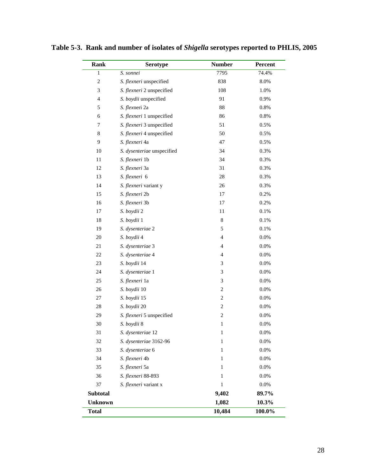| Rank                        | <b>Serotype</b>            | <b>Number</b>    | Percent |
|-----------------------------|----------------------------|------------------|---------|
| $\,1$                       | S. sonnei                  | 7795             | 74.4%   |
| $\sqrt{2}$                  | S. flexneri unspecified    | 838              | 8.0%    |
| $\ensuremath{\mathfrak{Z}}$ | S. flexneri 2 unspecified  | 108              | 1.0%    |
| $\overline{4}$              | S. boydii unspecified      | 91               | 0.9%    |
| 5                           | S. flexneri 2a             | 88               | 0.8%    |
| 6                           | S. flexneri 1 unspecified  | 86               | 0.8%    |
| 7                           | S. flexneri 3 unspecified  | 51               | 0.5%    |
| 8                           | S. flexneri 4 unspecified  | 50               | 0.5%    |
| 9                           | S. flexneri 4a             | 47               | 0.5%    |
| 10                          | S. dysenteriae unspecified | 34               | 0.3%    |
| 11                          | S. flexneri 1b             | 34               | 0.3%    |
| 12                          | S. flexneri 3a             | 31               | 0.3%    |
| 13                          | S. flexneri 6              | 28               | 0.3%    |
| 14                          | S. flexneri variant y      | 26               | 0.3%    |
| 15                          | S. flexneri 2b             | 17               | 0.2%    |
| 16                          | S. flexneri 3b             | 17               | 0.2%    |
| 17                          | S. boydii 2                | 11               | 0.1%    |
| 18                          | S. boydii 1                | 8                | 0.1%    |
| 19                          | S. dysenteriae 2           | 5                | 0.1%    |
| 20                          | S. boydii 4                | 4                | 0.0%    |
| 21                          | S. dysenteriae 3           | 4                | 0.0%    |
| 22                          | S. dysenteriae 4           | $\overline{4}$   | 0.0%    |
| 23                          | S. boydii 14               | 3                | 0.0%    |
| 24                          | S. dysenteriae 1           | 3                | 0.0%    |
| 25                          | S. flexneri 1a             | 3                | 0.0%    |
| 26                          | S. boydii 10               | $\mathbf{2}$     | 0.0%    |
| 27                          | S. boydii 15               | $\boldsymbol{2}$ | 0.0%    |
| 28                          | S. boydii 20               | $\overline{c}$   | 0.0%    |
| 29                          | S. flexneri 5 unspecified  | $\mathbf{2}$     | 0.0%    |
| 30                          | S. boydii 8                | $\mathbf{1}$     | $0.0\%$ |
| 31                          | S. dysenteriae 12          | $\mathbf{1}$     | 0.0%    |
| 32                          | S. dysenteriae 3162-96     | 1                | 0.0%    |
| 33                          | S. dysenteriae 6           | 1                | 0.0%    |
| 34                          | S. flexneri 4b             | 1                | 0.0%    |
| 35                          | S. flexneri 5a             | 1                | 0.0%    |
| 36                          | S. flexneri 88-893         | 1                | 0.0%    |
| 37                          | S. flexneri variant x      | $\mathbf{1}$     | 0.0%    |
| <b>Subtotal</b>             |                            | 9,402            | 89.7%   |
| <b>Unknown</b>              |                            | 1,082            | 10.3%   |
| <b>Total</b>                |                            | 10,484           | 100.0%  |

**Table 5-3. Rank and number of isolates of** *Shigella* **serotypes reported to PHLIS, 2005**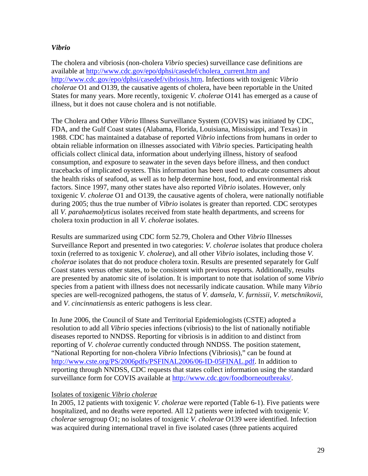# *Vibrio*

The cholera and vibriosis (non-cholera *Vibrio* species) surveillance case definitions are available at [http://www.cdc.gov/epo/dphsi/casedef/cholera\\_current.htm](http://www.cdc.gov/epo/dphsi/casedef/cholera_current.htm) and [http://www.cdc.gov/epo/dphsi/casedef/vibriosis.htm.](http://www.cdc.gov/epo/dphsi/casedef/vibriosis.htm) Infections with toxigenic *Vibrio cholerae* O1 and O139, the causative agents of cholera, have been reportable in the United States for many years. More recently, toxigenic *V. cholerae* O141 has emerged as a cause of illness, but it does not cause cholera and is not notifiable.

The Cholera and Other *Vibrio* Illness Surveillance System (COVIS) was initiated by CDC, FDA, and the Gulf Coast states (Alabama, Florida, Louisiana, Mississippi, and Texas) in 1988. CDC has maintained a database of reported *Vibrio* infections from humans in order to obtain reliable information on illnesses associated with *Vibrio* species. Participating health officials collect clinical data, information about underlying illness, history of seafood consumption, and exposure to seawater in the seven days before illness, and then conduct tracebacks of implicated oysters. This information has been used to educate consumers about the health risks of seafood, as well as to help determine host, food, and environmental risk factors. Since 1997, many other states have also reported *Vibrio* isolates. However, only toxigenic *V. cholerae* O1 and O139, the causative agents of cholera, were nationally notifiable during 2005; thus the true number of *Vibrio* isolates is greater than reported. CDC serotypes all *V. parahaemolyticus* isolates received from state health departments, and screens for cholera toxin production in all *V. cholerae* isolates.

Results are summarized using CDC form 52.79, Cholera and Other *Vibrio* Illnesses Surveillance Report and presented in two categories: *V. cholerae* isolates that produce cholera toxin (referred to as toxigenic *V. cholerae*), and all other *Vibrio* isolates, including those *V. cholerae* isolates that do not produce cholera toxin. Results are presented separately for Gulf Coast states versus other states, to be consistent with previous reports. Additionally, results are presented by anatomic site of isolation. It is important to note that isolation of some *Vibrio*  species from a patient with illness does not necessarily indicate causation. While many *Vibrio*  species are well-recognized pathogens, the status of *V*. *damsela, V. furnissii*, *V. metschnikovii*, and *V*. *cincinnatiensis* as enteric pathogens is less clear.

In June 2006, the Council of State and Territorial Epidemiologists (CSTE) adopted a resolution to add all *Vibrio* species infections (vibriosis) to the list of nationally notifiable diseases reported to NNDSS. Reporting for vibriosis is in addition to and distinct from reporting of *V. cholerae* currently conducted through NNDSS. The position statement, "National Reporting for non-cholera *Vibrio* Infections (Vibriosis)," can be found at [http://www.cste.org/PS/2006pdfs/PSFINAL2006/06-ID-05FINAL.pdf.](http://www.cste.org/PS/2006pdfs/PSFINAL2006/06-ID-05FINAL.pdf) In addition to reporting through NNDSS, CDC requests that states collect information using the standard surveillance form for COVIS available at [http://www.cdc.gov/foodborneoutbreaks/.](http://www.cdc.gov/foodborneoutbreaks/)

# Isolates of toxigenic *Vibrio cholerae*

In 2005, 12 patients with toxigenic *V. cholerae* were reported (Table 6-1). Five patients were hospitalized, and no deaths were reported. All 12 patients were infected with toxigenic *V. cholerae* serogroup O1; no isolates of toxigenic *V. cholerae* O139 were identified. Infection was acquired during international travel in five isolated cases (three patients acquired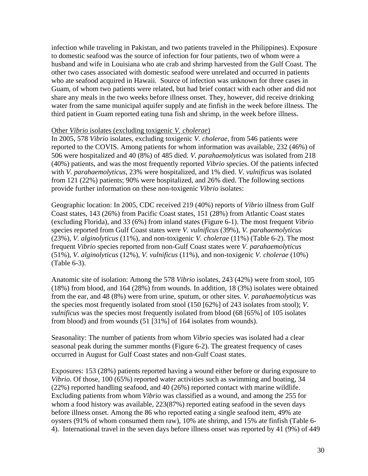infection while traveling in Pakistan, and two patients traveled in the Philippines). Exposure to domestic seafood was the source of infection for four patients, two of whom were a husband and wife in Louisiana who ate crab and shrimp harvested from the Gulf Coast. The other two cases associated with domestic seafood were unrelated and occurred in patients who ate seafood acquired in Hawaii. Source of infection was unknown for three cases in Guam, of whom two patients were related, but had brief contact with each other and did not share any meals in the two weeks before illness onset. They, however, did receive drinking water from the same municipal aquifer supply and ate finfish in the week before illness. The third patient in Guam reported eating tuna fish and shrimp, in the week before illness.

#### Other *Vibrio* isolates (excluding toxigenic *V. cholerae*)

In 2005, 578 *Vibrio* isolates, excluding toxigenic *V. cholerae*, from 546 patients were reported to the COVIS. Among patients for whom information was available, 232 (46%) of 506 were hospitalized and 40 (8%) of 485 died. *V. parahaemolyticus* was isolated from 218 (40%) patients, and was the most frequently reported *Vibrio* species. Of the patients infected with *V. parahaemolyticus*, 23% were hospitalized, and 1% died. *V. vulnificus* was isolated from 121 (22%) patients; 90% were hospitalized, and 26% died. The following sections provide further information on these non-toxigenic *Vibrio* isolates:

Geographic location: In 2005, CDC received 219 (40%) reports of *Vibrio* illness from Gulf Coast states, 143 (26%) from Pacific Coast states, 151 (28%) from Atlantic Coast states (excluding Florida), and 33 (6%) from inland states (Figure 6-1). The most frequent *Vibrio*  species reported from Gulf Coast states were *V. vulnificus* (39%), *V. parahaemolyticus*  (23%), *V. alginolyticus* (11%), and non-toxigenic *V. cholerae* (11%) (Table 6-2). The most frequent *Vibrio* species reported from non-Gulf Coast states were *V. parahaemolyticus*  (51%), *V. alginolyticus* (12%), *V. vulnificus* (11%), and non-toxigenic *V. cholerae* (10%) (Table 6-3).

Anatomic site of isolation: Among the 578 *Vibrio* isolates, 243 (42%) were from stool, 105 (18%) from blood, and 164 (28%) from wounds. In addition, 18 (3%) isolates were obtained from the ear, and 48 (8%) were from urine, sputum, or other sites. *V. parahaemolyticus* was the species most frequently isolated from stool (150 [62%] of 243 isolates from stool); *V. vulnificus* was the species most frequently isolated from blood (68 [65%] of 105 isolates from blood) and from wounds (51 [31%] of 164 isolates from wounds).

Seasonality: The number of patients from whom *Vibrio* species was isolated had a clear seasonal peak during the summer months (Figure 6-2). The greatest frequency of cases occurred in August for Gulf Coast states and non-Gulf Coast states.

Exposures: 153 (28%) patients reported having a wound either before or during exposure to *Vibrio*. Of those, 100 (65%) reported water activities such as swimming and boating, 34 (22%) reported handling seafood, and 40 (26%) reported contact with marine wildlife. Excluding patients from whom *Vibrio* was classified as a wound, and among the 255 for whom a food history was available, 223(87%) reported eating seafood in the seven days before illness onset. Among the 86 who reported eating a single seafood item, 49% ate oysters (91% of whom consumed them raw), 10% ate shrimp, and 15% ate finfish (Table 6- 4). International travel in the seven days before illness onset was reported by 41 (9%) of 449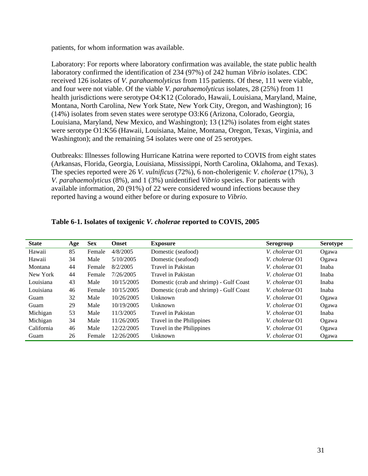patients, for whom information was available.

Laboratory: For reports where laboratory confirmation was available, the state public health laboratory confirmed the identification of 234 (97%) of 242 human *Vibrio* isolates. CDC received 126 isolates of *V. parahaemolyticus* from 115 patients. Of these, 111 were viable, and four were not viable. Of the viable *V. parahaemolyticus* isolates, 28 (25%) from 11 health jurisdictions were serotype O4:K12 (Colorado, Hawaii, Louisiana, Maryland, Maine, Montana, North Carolina, New York State, New York City, Oregon, and Washington); 16 (14%) isolates from seven states were serotype O3:K6 (Arizona, Colorado, Georgia, Louisiana, Maryland, New Mexico, and Washington); 13 (12%) isolates from eight states were serotype O1:K56 (Hawaii, Louisiana, Maine, Montana, Oregon, Texas, Virginia, and Washington); and the remaining 54 isolates were one of 25 serotypes.

Outbreaks: Illnesses following Hurricane Katrina were reported to COVIS from eight states (Arkansas, Florida, Georgia, Louisiana, Mississippi, North Carolina, Oklahoma, and Texas). The species reported were 26 *V. vulnificus* (72%), 6 non-cholerigenic *V. cholerae* (17%), 3 *V. parahaemolyticus* (8%), and 1 (3%) unidentified *Vibrio* species. For patients with available information, 20 (91%) of 22 were considered wound infections because they reported having a wound either before or during exposure to *Vibrio*.

| <b>State</b> | Age | <b>Sex</b> | <b>Onset</b> | <b>Exposure</b>                         | Serogroup      | <b>Serotype</b> |
|--------------|-----|------------|--------------|-----------------------------------------|----------------|-----------------|
| Hawaii       | 85  | Female     | 4/8/2005     | Domestic (seafood)                      | V. cholerae O1 | Ogawa           |
| Hawaii       | 34  | Male       | 5/10/2005    | Domestic (seafood)                      | V. cholerae O1 | Ogawa           |
| Montana      | 44  | Female     | 8/2/2005     | Travel in Pakistan                      | V. cholerae O1 | Inaba           |
| New York     | 44  | Female     | 7/26/2005    | Travel in Pakistan                      | V. cholerae O1 | Inaba           |
| Louisiana    | 43  | Male       | 10/15/2005   | Domestic (crab and shrimp) - Gulf Coast | V. cholerae O1 | Inaba           |
| Louisiana    | 46  | Female     | 10/15/2005   | Domestic (crab and shrimp) - Gulf Coast | V. cholerae O1 | Inaba           |
| Guam         | 32  | Male       | 10/26/2005   | Unknown                                 | V. cholerae O1 | Ogawa           |
| Guam         | 29  | Male       | 10/19/2005   | Unknown                                 | V. cholerae O1 | Ogawa           |
| Michigan     | 53  | Male       | 11/3/2005    | Travel in Pakistan                      | V. cholerae O1 | Inaba           |
| Michigan     | 34  | Male       | 11/26/2005   | Travel in the Philippines               | V. cholerae O1 | Ogawa           |
| California   | 46  | Male       | 12/22/2005   | Travel in the Philippines               | V. cholerae O1 | Ogawa           |
| Guam         | 26  | Female     | 12/26/2005   | Unknown                                 | V. cholerae O1 | Ogawa           |

#### **Table 6-1. Isolates of toxigenic** *V. cholerae* **reported to COVIS, 2005**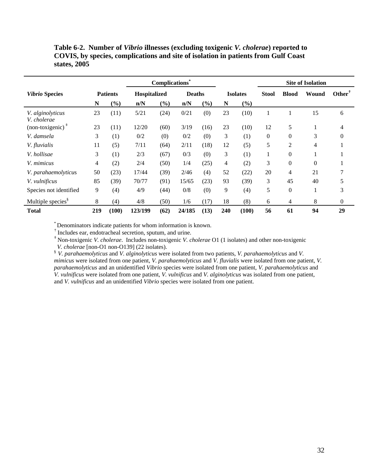**Table 6-2. Number of** *Vibrio* **illnesses (excluding toxigenic** *V. cholerae***) reported to COVIS, by species, complications and site of isolation in patients from Gulf Coast states, 2005** 

|                                 |     |                 |              | <b>Complications</b>         |               |                              |                |                 |              |                  | <b>Site of Isolation</b> |                  |
|---------------------------------|-----|-----------------|--------------|------------------------------|---------------|------------------------------|----------------|-----------------|--------------|------------------|--------------------------|------------------|
| <b>Vibrio Species</b>           |     | <b>Patients</b> | Hospitalized |                              | <b>Deaths</b> |                              |                | <b>Isolates</b> | <b>Stool</b> | <b>Blood</b>     | Wound                    | <b>Other</b>     |
|                                 | N   | $(\%)$          | n/N          | $\left( \frac{9}{6} \right)$ | n/N           | $\left( \frac{9}{6} \right)$ | N              | (%)             |              |                  |                          |                  |
| V. alginolyticus<br>V. cholerae | 23  | (11)            | 5/21         | (24)                         | 0/21          | (0)                          | 23             | (10)            |              |                  | 15                       | 6                |
| $(non-toxigenic)+$              | 23  | (11)            | 12/20        | (60)                         | 3/19          | (16)                         | 23             | (10)            | 12           | 5                |                          | 4                |
| V. damsela                      | 3   | (1)             | 0/2          | (0)                          | 0/2           | (0)                          | 3              | (1)             | $\theta$     | $\mathbf{0}$     | 3                        | $\Omega$         |
| V. fluvialis                    | 11  | (5)             | 7/11         | (64)                         | 2/11          | (18)                         | 12             | (5)             | 5            | 2                | $\overline{4}$           |                  |
| V. hollisae                     | 3   | (1)             | 2/3          | (67)                         | 0/3           | (0)                          | 3              | (1)             |              | $\mathbf{0}$     |                          |                  |
| V. mimicus                      | 4   | (2)             | 2/4          | (50)                         | 1/4           | (25)                         | $\overline{4}$ | (2)             | 3            | $\mathbf{0}$     | $\Omega$                 |                  |
| V. parahaemolyticus             | 50  | (23)            | 17/44        | (39)                         | 2/46          | (4)                          | 52             | (22)            | 20           | 4                | 21                       |                  |
| V. <i>vulnificus</i>            | 85  | (39)            | 70/77        | (91)                         | 15/65         | (23)                         | 93             | (39)            | 3            | 45               | 40                       | 5                |
| Species not identified          | 9   | (4)             | 4/9          | (44)                         | 0/8           | (0)                          | 9              | (4)             | 5            | $\boldsymbol{0}$ | 1                        | 3                |
| Multiple species <sup>§</sup>   | 8   | (4)             | 4/8          | (50)                         | 1/6           | (17)                         | 18             | (8)             | 6            | 4                | 8                        | $\boldsymbol{0}$ |
| <b>Total</b>                    | 219 | (100)           | 123/199      | (62)                         | 24/185        | (13)                         | 240            | (100)           | 56           | 61               | 94                       | 29               |

\* Denominators indicate patients for whom information is known.

† Includes ear, endotracheal secretion, sputum, and urine.

‡ Non-toxigenic *V. cholerae*. Includes non-toxigenic *V. cholerae* O1 (1 isolates) and other non-toxigenic

<sup>§</sup> *V. parahaemolyticus* and *V. alginolyticus* were isolated from two patients, *V. parahaemolyticus* and *V. mimicus* were isolated from one patient, *V. parahaemolyticus* and *V. fluvialis* were isolated from one patient, *V. parahaemolyticus* and an unidentified *Vibrio* species were isolated from one patient, *V. parahaemolyticus* and *V. vulnificus* were isolated from one patient, *V. vulnificus* and *V. alginolyticus* was isolated from one patient, and *V. vulnificus* and an unidentified *Vibrio* species were isolated from one patient.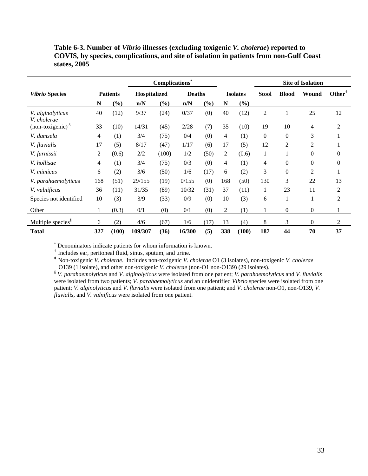| Table 6-3. Number of <i>Vibrio</i> illnesses (excluding toxigenic <i>V. cholerae</i> ) reported to |
|----------------------------------------------------------------------------------------------------|
| COVIS, by species, complications, and site of isolation in patients from non-Gulf Coast            |
| states, $2005$                                                                                     |

|                                 |     |                 |              | <b>Complications</b> |               |      |     |                 |                |                | <b>Site of Isolation</b> |                |
|---------------------------------|-----|-----------------|--------------|----------------------|---------------|------|-----|-----------------|----------------|----------------|--------------------------|----------------|
| <b>Vibrio Species</b>           |     | <b>Patients</b> | Hospitalized |                      | <b>Deaths</b> |      |     | <b>Isolates</b> | <b>Stool</b>   | <b>Blood</b>   | Wound                    | $Other^T$      |
|                                 | N   | (%)             | n/N          | $(\%)$               | n/N           | (%)  | N   | (%)             |                |                |                          |                |
| V. alginolyticus<br>V. cholerae | 40  | (12)            | 9/37         | (24)                 | 0/37          | (0)  | 40  | (12)            | 2              |                | 25                       | 12             |
| $non-toxigenic$ <sup>3</sup>    | 33  | (10)            | 14/31        | (45)                 | 2/28          | (7)  | 35  | (10)            | 19             | 10             | 4                        | $\overline{2}$ |
| V. damsela                      | 4   | (1)             | 3/4          | (75)                 | 0/4           | (0)  | 4   | (1)             | $\overline{0}$ | $\theta$       | 3                        | 1              |
| V. fluvialis                    | 17  | (5)             | 8/17         | (47)                 | 1/17          | (6)  | 17  | (5)             | 12             | $\overline{2}$ | 2                        | 1              |
| V. furnissii                    | 2   | (0.6)           | 2/2          | (100)                | 1/2           | (50) | 2   | (0.6)           | 1              |                | $\theta$                 | $\theta$       |
| V. hollisae                     | 4   | (1)             | 3/4          | (75)                 | 0/3           | (0)  | 4   | (1)             | 4              | $\theta$       | $\boldsymbol{0}$         | $\theta$       |
| V. mimicus                      | 6   | (2)             | 3/6          | (50)                 | 1/6           | (17) | 6   | (2)             | 3              | $\Omega$       | $\overline{2}$           | 1              |
| V. parahaemolyticus             | 168 | (51)            | 29/155       | (19)                 | 0/155         | (0)  | 168 | (50)            | 130            | 3              | 22                       | 13             |
| V. vulnificus                   | 36  | (11)            | 31/35        | (89)                 | 10/32         | (31) | 37  | (11)            | 1              | 23             | 11                       | $\overline{2}$ |
| Species not identified          | 10  | (3)             | 3/9          | (33)                 | 0/9           | (0)  | 10  | (3)             | 6              |                |                          | 2              |
| Other                           | 1   | (0.3)           | 0/1          | (0)                  | 0/1           | (0)  | 2   | (1)             | 1              | $\overline{0}$ | $\theta$                 | 1              |
| Multiple species <sup>§</sup>   | 6   | (2)             | 4/6          | (67)                 | 1/6           | (17) | 13  | (4)             | 8              | 3              | $\overline{0}$           | 2              |
| <b>Total</b>                    | 327 | (100)           | 109/307      | (36)                 | 16/300        | (5)  | 338 | (100)           | 187            | 44             | 70                       | 37             |

\* Denominators indicate patients for whom information is known. † Includes ear, peritoneal fluid, sinus, sputum, and urine.

‡ Non-toxigenic *V. cholerae*. Includes non-toxigenic *V. cholerae* O1 (3 isolates), non-toxigenic *V. cholerae*  O139 (1 isolate), and other non-toxigenic *V. cholerae* (non-O1 non-O139) (29 isolates).

§ *V. parahaemolyticus* and *V. alginolyticus* were isolated from one patient; *V. parahaemolyticus* and *V. fluvialis*  were isolated from two patients; *V. parahaemolyticus* and an unidentified *Vibrio* species were isolated from one patient; *V. alginolyticus* and *V. fluvialis* were isolated from one patient; and *V. cholerae* non-O1, non-O139, *V. fluvialis,* and *V. vulnificus* were isolated from one patient.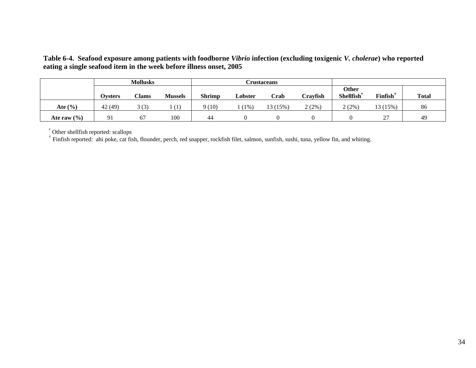**Table 6-4. Seafood exposure among patients with foodborne** *Vibrio* **infection (excluding toxigenic** *V. cholerae***) who reported eating a single seafood item in the week before illness onset, 2005** 

|                 | <b>Mollusks</b> |       |                  | <b>Crustaceans</b> |         |          |          |                           |                           |              |
|-----------------|-----------------|-------|------------------|--------------------|---------|----------|----------|---------------------------|---------------------------|--------------|
|                 | Ovsters         | Clams | <b>Mussels</b>   | <b>Shrimp</b>      | Lobster | Crab     | Cravfish | <b>Other</b><br>Shellfish | <b>Finfish</b>            | <b>Total</b> |
| Ate $(\% )$     | 42 (49)         | 3(3)  | $\left(1\right)$ | (10)               | $(1\%)$ | 13 (15%) | 2(2%)    | 2(2%)                     | 13 (15%)                  | 86           |
| Ate raw $(\% )$ | 91              | 67    | 100              | 44                 |         |          |          |                           | $\mathcal{L}$<br><u>.</u> | 49           |

\* Other shellfish reported: scallops

† Finfish reported: ahi poke, cat fish, flounder, perch, red snapper, rockfish filet, salmon, sunfish, sushi, tuna, yellow fin, and whiting.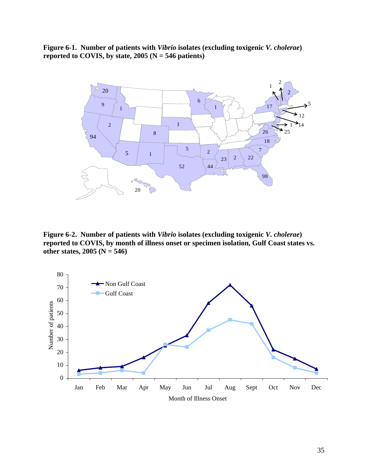**Figure 6-1. Number of patients with** *Vibrio* **isolates (excluding toxigenic** *V. cholerae***)**  reported to COVIS, by state, (N = 546 patients)



**Figure 6-2. Number of patients with** *Vibrio* **isolates (excluding toxigenic** *V. cholerae***) reported to COVIS, by month of illness onset or specimen isolation, Gulf Coast states vs. other states, 2005 (N = 546)** 

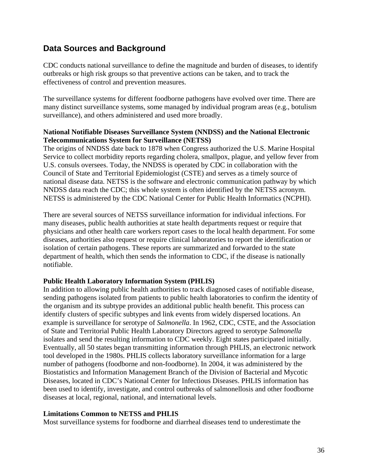# **Data Sources and Background**

CDC conducts national surveillance to define the magnitude and burden of diseases, to identify outbreaks or high risk groups so that preventive actions can be taken, and to track the effectiveness of control and prevention measures.

The surveillance systems for different foodborne pathogens have evolved over time. There are many distinct surveillance systems, some managed by individual program areas (e.g., botulism surveillance), and others administered and used more broadly.

### **National Notifiable Diseases Surveillance System (NNDSS) and the National Electronic Telecommunications System for Surveillance (NETSS)**

The origins of NNDSS date back to 1878 when Congress authorized the U.S. Marine Hospital Service to collect morbidity reports regarding cholera, smallpox, plague, and yellow fever from U.S. consuls oversees. Today, the NNDSS is operated by CDC in collaboration with the Council of State and Territorial Epidemiologist (CSTE) and serves as a timely source of national disease data. NETSS is the software and electronic communication pathway by which NNDSS data reach the CDC; this whole system is often identified by the NETSS acronym. NETSS is administered by the CDC National Center for Public Health Informatics (NCPHI).

There are several sources of NETSS surveillance information for individual infections. For many diseases, public health authorities at state health departments request or require that physicians and other health care workers report cases to the local health department. For some diseases, authorities also request or require clinical laboratories to report the identification or isolation of certain pathogens. These reports are summarized and forwarded to the state department of health, which then sends the information to CDC, if the disease is nationally notifiable.

# **Public Health Laboratory Information System (PHLIS)**

In addition to allowing public health authorities to track diagnosed cases of notifiable disease, sending pathogens isolated from patients to public health laboratories to confirm the identity of the organism and its subtype provides an additional public health benefit. This process can identify clusters of specific subtypes and link events from widely dispersed locations. An example is surveillance for serotype of *Salmonella*. In 1962, CDC, CSTE, and the Association of State and Territorial Public Health Laboratory Directors agreed to serotype *Salmonella*  isolates and send the resulting information to CDC weekly. Eight states participated initially. Eventually, all 50 states began transmitting information through PHLIS, an electronic network tool developed in the 1980s. PHLIS collects laboratory surveillance information for a large number of pathogens (foodborne and non-foodborne). In 2004, it was administered by the Biostatistics and Information Management Branch of the Division of Bacterial and Mycotic Diseases, located in CDC's National Center for Infectious Diseases. PHLIS information has been used to identify, investigate, and control outbreaks of salmonellosis and other foodborne diseases at local, regional, national, and international levels.

# **Limitations Common to NETSS and PHLIS**

Most surveillance systems for foodborne and diarrheal diseases tend to underestimate the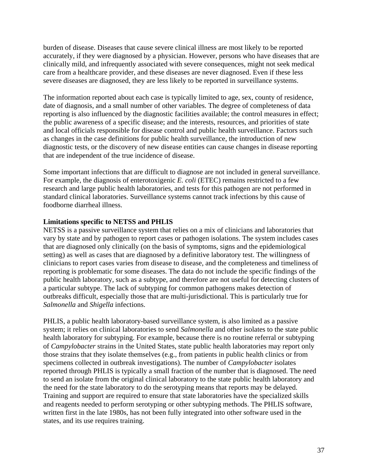burden of disease. Diseases that cause severe clinical illness are most likely to be reported accurately, if they were diagnosed by a physician. However, persons who have diseases that are clinically mild, and infrequently associated with severe consequences, might not seek medical care from a healthcare provider, and these diseases are never diagnosed. Even if these less severe diseases are diagnosed, they are less likely to be reported in surveillance systems.

The information reported about each case is typically limited to age, sex, county of residence, date of diagnosis, and a small number of other variables. The degree of completeness of data reporting is also influenced by the diagnostic facilities available; the control measures in effect; the public awareness of a specific disease; and the interests, resources, and priorities of state and local officials responsible for disease control and public health surveillance. Factors such as changes in the case definitions for public health surveillance, the introduction of new diagnostic tests, or the discovery of new disease entities can cause changes in disease reporting that are independent of the true incidence of disease.

Some important infections that are difficult to diagnose are not included in general surveillance. For example, the diagnosis of enterotoxigenic *E. coli* (ETEC) remains restricted to a few research and large public health laboratories, and tests for this pathogen are not performed in standard clinical laboratories. Surveillance systems cannot track infections by this cause of foodborne diarrheal illness.

### **Limitations specific to NETSS and PHLIS**

NETSS is a passive surveillance system that relies on a mix of clinicians and laboratories that vary by state and by pathogen to report cases or pathogen isolations. The system includes cases that are diagnosed only clinically (on the basis of symptoms, signs and the epidemiological setting) as well as cases that are diagnosed by a definitive laboratory test. The willingness of clinicians to report cases varies from disease to disease, and the completeness and timeliness of reporting is problematic for some diseases. The data do not include the specific findings of the public health laboratory, such as a subtype, and therefore are not useful for detecting clusters of a particular subtype. The lack of subtyping for common pathogens makes detection of outbreaks difficult, especially those that are multi-jurisdictional. This is particularly true for *Salmonella* and *Shigella* infections.

PHLIS, a public health laboratory-based surveillance system, is also limited as a passive system; it relies on clinical laboratories to send *Salmonella* and other isolates to the state public health laboratory for subtyping. For example, because there is no routine referral or subtyping of *Campylobacter* strains in the United States, state public health laboratories may report only those strains that they isolate themselves (e.g., from patients in public health clinics or from specimens collected in outbreak investigations). The number of *Campylobacter* isolates reported through PHLIS is typically a small fraction of the number that is diagnosed. The need to send an isolate from the original clinical laboratory to the state public health laboratory and the need for the state laboratory to do the serotyping means that reports may be delayed. Training and support are required to ensure that state laboratories have the specialized skills and reagents needed to perform serotyping or other subtyping methods. The PHLIS software, written first in the late 1980s, has not been fully integrated into other software used in the states, and its use requires training.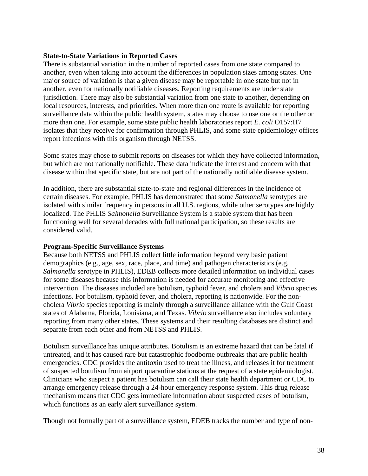#### **State-to-State Variations in Reported Cases**

There is substantial variation in the number of reported cases from one state compared to another, even when taking into account the differences in population sizes among states. One major source of variation is that a given disease may be reportable in one state but not in another, even for nationally notifiable diseases. Reporting requirements are under state jurisdiction. There may also be substantial variation from one state to another, depending on local resources, interests, and priorities. When more than one route is available for reporting surveillance data within the public health system, states may choose to use one or the other or more than one. For example, some state public health laboratories report *E. coli* O157:H7 isolates that they receive for confirmation through PHLIS, and some state epidemiology offices report infections with this organism through NETSS.

Some states may chose to submit reports on diseases for which they have collected information, but which are not nationally notifiable. These data indicate the interest and concern with that disease within that specific state, but are not part of the nationally notifiable disease system.

In addition, there are substantial state-to-state and regional differences in the incidence of certain diseases. For example, PHLIS has demonstrated that some *Salmonella* serotypes are isolated with similar frequency in persons in all U.S. regions, while other serotypes are highly localized. The PHLIS *Salmonella* Surveillance System is a stable system that has been functioning well for several decades with full national participation, so these results are considered valid.

#### **Program-Specific Surveillance Systems**

Because both NETSS and PHLIS collect little information beyond very basic patient demographics (e.g., age, sex, race, place, and time) and pathogen characteristics (e.g. *Salmonella* serotype in PHLIS), EDEB collects more detailed information on individual cases for some diseases because this information is needed for accurate monitoring and effective intervention. The diseases included are botulism, typhoid fever, and cholera and *Vibrio* species infections. For botulism, typhoid fever, and cholera, reporting is nationwide. For the noncholera *Vibrio* species reporting is mainly through a surveillance alliance with the Gulf Coast states of Alabama, Florida, Louisiana, and Texas. *Vibrio* surveillance also includes voluntary reporting from many other states. These systems and their resulting databases are distinct and separate from each other and from NETSS and PHLIS.

Botulism surveillance has unique attributes. Botulism is an extreme hazard that can be fatal if untreated, and it has caused rare but catastrophic foodborne outbreaks that are public health emergencies. CDC provides the antitoxin used to treat the illness, and releases it for treatment of suspected botulism from airport quarantine stations at the request of a state epidemiologist. Clinicians who suspect a patient has botulism can call their state health department or CDC to arrange emergency release through a 24-hour emergency response system. This drug release mechanism means that CDC gets immediate information about suspected cases of botulism, which functions as an early alert surveillance system.

Though not formally part of a surveillance system, EDEB tracks the number and type of non-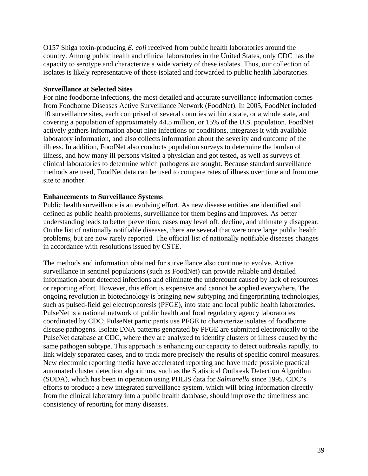O157 Shiga toxin-producing *E. coli* received from public health laboratories around the country. Among public health and clinical laboratories in the United States, only CDC has the capacity to serotype and characterize a wide variety of these isolates. Thus, our collection of isolates is likely representative of those isolated and forwarded to public health laboratories.

#### **Surveillance at Selected Sites**

For nine foodborne infections, the most detailed and accurate surveillance information comes from Foodborne Diseases Active Surveillance Network (FoodNet). In 2005, FoodNet included 10 surveillance sites, each comprised of several counties within a state, or a whole state, and covering a population of approximately 44.5 million, or 15% of the U.S. population. FoodNet actively gathers information about nine infections or conditions, integrates it with available laboratory information, and also collects information about the severity and outcome of the illness. In addition, FoodNet also conducts population surveys to determine the burden of illness, and how many ill persons visited a physician and got tested, as well as surveys of clinical laboratories to determine which pathogens are sought. Because standard surveillance methods are used, FoodNet data can be used to compare rates of illness over time and from one site to another.

#### **Enhancements to Surveillance Systems**

Public health surveillance is an evolving effort. As new disease entities are identified and defined as public health problems, surveillance for them begins and improves. As better understanding leads to better prevention, cases may level off, decline, and ultimately disappear. On the list of nationally notifiable diseases, there are several that were once large public health problems, but are now rarely reported. The official list of nationally notifiable diseases changes in accordance with resolutions issued by CSTE.

The methods and information obtained for surveillance also continue to evolve. Active surveillance in sentinel populations (such as FoodNet) can provide reliable and detailed information about detected infections and eliminate the undercount caused by lack of resources or reporting effort. However, this effort is expensive and cannot be applied everywhere. The ongoing revolution in biotechnology is bringing new subtyping and fingerprinting technologies, such as pulsed-field gel electrophoresis (PFGE), into state and local public health laboratories. PulseNet is a national network of public health and food regulatory agency laboratories coordinated by CDC; PulseNet participants use PFGE to characterize isolates of foodborne disease pathogens. Isolate DNA patterns generated by PFGE are submitted electronically to the PulseNet database at CDC, where they are analyzed to identify clusters of illness caused by the same pathogen subtype. This approach is enhancing our capacity to detect outbreaks rapidly, to link widely separated cases, and to track more precisely the results of specific control measures. New electronic reporting media have accelerated reporting and have made possible practical automated cluster detection algorithms, such as the Statistical Outbreak Detection Algorithm (SODA), which has been in operation using PHLIS data for *Salmonella* since 1995. CDC's efforts to produce a new integrated surveillance system, which will bring information directly from the clinical laboratory into a public health database, should improve the timeliness and consistency of reporting for many diseases.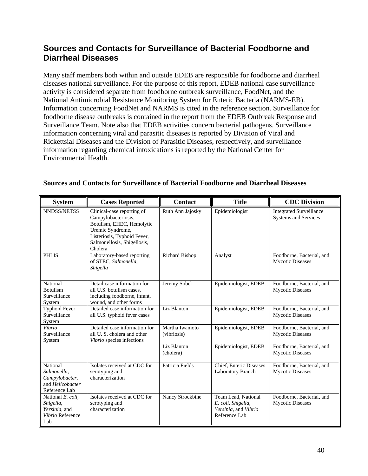# **Sources and Contacts for Surveillance of Bacterial Foodborne and Diarrheal Diseases**

Many staff members both within and outside EDEB are responsible for foodborne and diarrheal diseases national surveillance. For the purpose of this report, EDEB national case surveillance activity is considered separate from foodborne outbreak surveillance, FoodNet, and the National Antimicrobial Resistance Monitoring System for Enteric Bacteria (NARMS-EB). Information concerning FoodNet and NARMS is cited in the reference section. Surveillance for foodborne disease outbreaks is contained in the report from the EDEB Outbreak Response and Surveillance Team. Note also that EDEB activities concern bacterial pathogens. Surveillance information concerning viral and parasitic diseases is reported by Division of Viral and Rickettsial Diseases and the Division of Parasitic Diseases, respectively, and surveillance information regarding chemical intoxications is reported by the National Center for Environmental Health.

| <b>System</b>                                                                  | <b>Cases Reported</b>                                                                                                                                                       | <b>Contact</b>                | <b>Title</b>                                                                       | <b>CDC</b> Division                                    |
|--------------------------------------------------------------------------------|-----------------------------------------------------------------------------------------------------------------------------------------------------------------------------|-------------------------------|------------------------------------------------------------------------------------|--------------------------------------------------------|
| NNDSS/NETSS                                                                    | Clinical-case reporting of<br>Campylobacteriosis,<br>Botulism, EHEC, Hemolytic<br>Uremic Syndrome,<br>Listeriosis, Typhoid Fever,<br>Salmonellosis, Shigellosis,<br>Cholera | Ruth Ann Jajosky              | Epidemiologist                                                                     | <b>Integrated Surveillance</b><br>Systems and Services |
| <b>PHLIS</b>                                                                   | Laboratory-based reporting<br>of STEC, Salmonella,<br>Shigella                                                                                                              | Richard Bishop                | Analyst                                                                            | Foodborne, Bacterial, and<br><b>Mycotic Diseases</b>   |
| National<br><b>Botulism</b><br>Surveillance<br>System                          | Detail case information for<br>all U.S. botulism cases,<br>including foodborne, infant,<br>wound, and other forms                                                           | Jeremy Sobel                  | Epidemiologist, EDEB                                                               | Foodborne, Bacterial, and<br><b>Mycotic Diseases</b>   |
| <b>Typhoid Fever</b><br>Surveillance<br>System                                 | Detailed case information for<br>all U.S. typhoid fever cases                                                                                                               | Liz Blanton                   | Epidemiologist, EDEB                                                               | Foodborne, Bacterial, and<br><b>Mycotic Diseases</b>   |
| Vibrio<br>Surveillance<br>System                                               | Detailed case information for<br>all U.S. cholera and other<br>Vibrio species infections                                                                                    | Martha Iwamoto<br>(vibriosis) | Epidemiologist, EDEB                                                               | Foodborne, Bacterial, and<br><b>Mycotic Diseases</b>   |
|                                                                                |                                                                                                                                                                             | Liz Blanton<br>(cholera)      | Epidemiologist, EDEB                                                               | Foodborne, Bacterial, and<br><b>Mycotic Diseases</b>   |
| National<br>Salmonella,<br>Campylobacter,<br>and Helicobacter<br>Reference Lab | Isolates received at CDC for<br>serotyping and<br>characterization                                                                                                          | Patricia Fields               | Chief, Enteric Diseases<br>Laboratory Branch                                       | Foodborne, Bacterial, and<br><b>Mycotic Diseases</b>   |
| National E. coli,<br>Shigella,<br>Yersinia, and<br>Vibrio Reference<br>Lab     | Isolates received at CDC for<br>serotyping and<br>characterization                                                                                                          | Nancy Strockbine              | Team Lead, National<br>E. coli, Shigella,<br>Yersinia, and Vibrio<br>Reference Lab | Foodborne, Bacterial, and<br><b>Mycotic Diseases</b>   |

# **Sources and Contacts for Surveillance of Bacterial Foodborne and Diarrheal Diseases**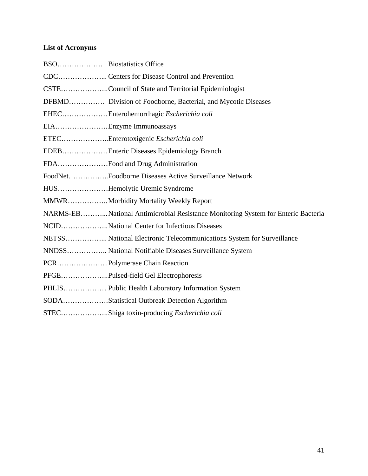# **List of Acronyms**

| CSTECouncil of State and Territorial Epidemiologist                              |
|----------------------------------------------------------------------------------|
| DFBMD Division of Foodborne, Bacterial, and Mycotic Diseases                     |
| EHECEnterohemorrhagic Escherichia coli                                           |
| EIAEnzyme Immunoassays                                                           |
| ETECEnterotoxigenic Escherichia coli                                             |
| EDEB Enteric Diseases Epidemiology Branch                                        |
| FDAFood and Drug Administration                                                  |
| FoodNetFoodborne Diseases Active Surveillance Network                            |
| HUSHemolytic Uremic Syndrome                                                     |
| MMWR Morbidity Mortality Weekly Report                                           |
| NARMS-EBNational Antimicrobial Resistance Monitoring System for Enteric Bacteria |
| NCIDNational Center for Infectious Diseases                                      |
| NETSS National Electronic Telecommunications System for Surveillance             |
| NNDSS National Notifiable Diseases Surveillance System                           |
| PCR Polymerase Chain Reaction                                                    |
| PFGEPulsed-field Gel Electrophoresis                                             |
| PHLIS Public Health Laboratory Information System                                |
| SODAStatistical Outbreak Detection Algorithm                                     |
| STECShiga toxin-producing Escherichia coli                                       |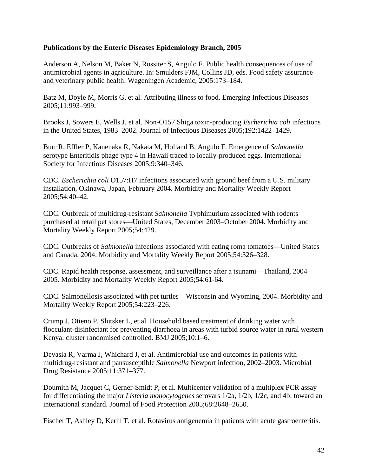#### **Publications by the Enteric Diseases Epidemiology Branch, 2005**

Anderson A, Nelson M, Baker N, Rossiter S, Angulo F. Public health consequences of use of antimicrobial agents in agriculture. In: Smulders FJM, Collins JD, eds. Food safety assurance and veterinary public health: Wageningen Academic, 2005:173–184.

Batz M, Doyle M, Morris G, et al. Attributing illness to food. Emerging Infectious Diseases 2005;11:993–999.

Brooks J, Sowers E, Wells J, et al. Non-O157 Shiga toxin-producing *Escherichia coli* infections in the United States, 1983–2002. Journal of Infectious Diseases 2005;192:1422–1429.

Burr R, Effler P, Kanenaka R, Nakata M, Holland B, Angulo F. Emergence of *Salmonella*  serotype Enteritidis phage type 4 in Hawaii traced to locally-produced eggs. International Society for Infectious Diseases 2005;9:340–346.

CDC. *Escherichia coli* O157:H7 infections associated with ground beef from a U.S. military installation, Okinawa, Japan, February 2004. Morbidity and Mortality Weekly Report 2005;54:40–42.

CDC. Outbreak of multidrug-resistant *Salmonella* Typhimurium associated with rodents purchased at retail pet stores—United States, December 2003–October 2004. Morbidity and Mortality Weekly Report 2005;54:429.

CDC. Outbreaks of *Salmonella* infections associated with eating roma tomatoes—United States and Canada, 2004. Morbidity and Mortality Weekly Report 2005;54:326–328.

CDC. Rapid health response, assessment, and surveillance after a tsunami—Thailand, 2004– 2005. Morbidity and Mortality Weekly Report 2005;54:61-64.

CDC. Salmonellosis associated with pet turtles—Wisconsin and Wyoming, 2004. Morbidity and Mortality Weekly Report 2005;54:223–226.

Crump J, Otieno P, Slutsker L, et al. Household based treatment of drinking water with flocculant-disinfectant for preventing diarrhoea in areas with turbid source water in rural western Kenya: cluster randomised controlled. BMJ 2005;10:1–6.

Devasia R, Varma J, Whichard J, et al. Antimicrobial use and outcomes in patients with multidrug-resistant and pansusceptible *Salmonella* Newport infection, 2002–2003. Microbial Drug Resistance 2005;11:371–377.

Doumith M, Jacquet C, Gerner-Smidt P, et al. Multicenter validation of a multiplex PCR assay for differentiating the major *Listeria monocytogenes* serovars 1/2a, 1/2b, 1/2c, and 4b: toward an international standard. Journal of Food Protection 2005;68:2648–2650.

Fischer T, Ashley D, Kerin T, et al. Rotavirus antigenemia in patients with acute gastroenteritis.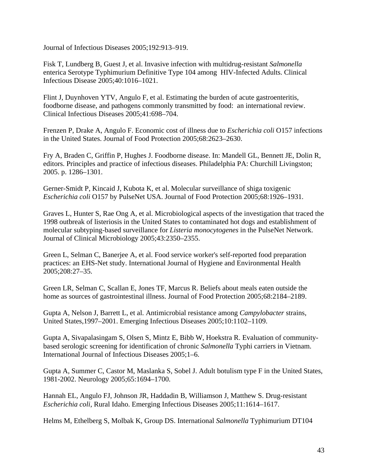Journal of Infectious Diseases 2005;192:913–919.

Fisk T, Lundberg B, Guest J, et al. Invasive infection with multidrug-resistant *Salmonella*  enterica Serotype Typhimurium Definitive Type 104 among HIV-Infected Adults. Clinical Infectious Disease 2005;40:1016–1021.

Flint J, Duynhoven YTV, Angulo F, et al. Estimating the burden of acute gastroenteritis, foodborne disease, and pathogens commonly transmitted by food: an international review. Clinical Infectious Diseases 2005;41:698–704.

Frenzen P, Drake A, Angulo F. Economic cost of illness due to *Escherichia coli* O157 infections in the United States. Journal of Food Protection 2005;68:2623–2630.

Fry A, Braden C, Griffin P, Hughes J. Foodborne disease. In: Mandell GL, Bennett JE, Dolin R, editors. Principles and practice of infectious diseases. Philadelphia PA: Churchill Livingston; 2005. p. 1286–1301.

Gerner-Smidt P, Kincaid J, Kubota K, et al. Molecular surveillance of shiga toxigenic *Escherichia coli* O157 by PulseNet USA. Journal of Food Protection 2005;68:1926–1931.

Graves L, Hunter S, Rae Ong A, et al. Microbiological aspects of the investigation that traced the 1998 outbreak of listeriosis in the United States to contaminated hot dogs and establishment of molecular subtyping-based surveillance for *Listeria monocytogenes* in the PulseNet Network. Journal of Clinical Microbiology 2005;43:2350–2355.

Green L, Selman C, Banerjee A, et al. Food service worker's self-reported food preparation practices: an EHS-Net study. International Journal of Hygiene and Environmental Health 2005;208:27–35.

Green LR, Selman C, Scallan E, Jones TF, Marcus R. Beliefs about meals eaten outside the home as sources of gastrointestinal illness. Journal of Food Protection 2005;68:2184–2189.

Gupta A, Nelson J, Barrett L, et al. Antimicrobial resistance among *Campylobacter* strains, United States,1997–2001. Emerging Infectious Diseases 2005;10:1102–1109.

Gupta A, Sivapalasingam S, Olsen S, Mintz E, Bibb W, Hoekstra R. Evaluation of communitybased serologic screening for identification of chronic *Salmonella* Typhi carriers in Vietnam. International Journal of Infectious Diseases 2005;1–6.

Gupta A, Summer C, Castor M, Maslanka S, Sobel J. Adult botulism type F in the United States, 1981-2002. Neurology 2005;65:1694–1700.

Hannah EL, Angulo FJ, Johnson JR, Haddadin B, Williamson J, Matthew S. Drug-resistant *Escherichia coli*, Rural Idaho. Emerging Infectious Diseases 2005;11:1614–1617.

Helms M, Ethelberg S, Molbak K, Group DS. International *Salmonella* Typhimurium DT104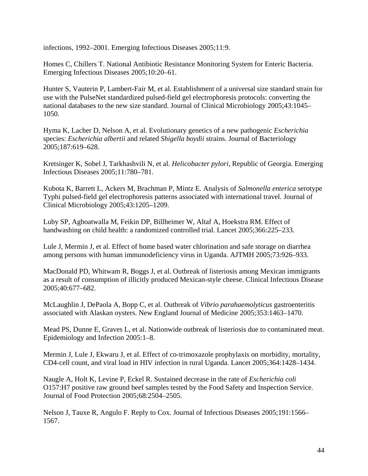infections, 1992–2001. Emerging Infectious Diseases 2005;11:9.

Homes C, Chillers T. National Antibiotic Resistance Monitoring System for Enteric Bacteria. Emerging Infectious Diseases 2005;10:20–61.

Hunter S, Vauterin P, Lambert-Fair M, et al. Establishment of a universal size standard strain for use with the PulseNet standardized pulsed-field gel electrophoresis protocols: converting the national databases to the new size standard. Journal of Clinical Microbiology 2005;43:1045– 1050.

Hyma K, Lacher D, Nelson A, et al. Evolutionary genetics of a new pathogenic *Escherichia*  species: *Escherichia albertii* and related *Shigella boydii* strains. Journal of Bacteriology 2005;187:619–628.

Kretsinger K, Sobel J, Tarkhashvili N, et al. *Helicobacter pylori*, Republic of Georgia. Emerging Infectious Diseases 2005;11:780–781.

Kubota K, Barrett L, Ackers M, Brachman P, Mintz E. Analysis of *Salmonella enterica* serotype Typhi pulsed-field gel electrophoresis patterns associated with international travel. Journal of Clinical Microbiology 2005;43:1205–1209.

Luby SP, Agboatwalla M, Feikin DP, Billheimer W, Altaf A, Hoekstra RM. Effect of handwashing on child health: a randomized controlled trial. Lancet 2005;366:225–233.

Lule J, Mermin J, et al. Effect of home based water chlorination and safe storage on diarrhea among persons with human immunodeficiency virus in Uganda. AJTMH 2005;73:926–933.

MacDonald PD, Whitwam R, Boggs J, et al. Outbreak of listeriosis among Mexican immigrants as a result of consumption of illicitly produced Mexican-style cheese. Clinical Infectious Disease 2005;40:677–682.

McLaughlin J, DePaola A, Bopp C, et al. Outbreak of *Vibrio parahaemolyticus* gastroenteritis associated with Alaskan oysters. New England Journal of Medicine 2005;353:1463–1470.

Mead PS, Dunne E, Graves L, et al. Nationwide outbreak of listeriosis due to contaminated meat. Epidemiology and Infection 2005:1–8.

Mermin J, Lule J, Ekwaru J, et al. Effect of co-trimoxazole prophylaxis on morbidity, mortality, CD4-cell count, and viral load in HIV infection in rural Uganda. Lancet 2005;364:1428–1434.

Naugle A, Holt K, Levine P, Eckel R. Sustained decrease in the rate of *Escherichia coli*  O157:H7 positive raw ground beef samples tested by the Food Safety and Inspection Service. Journal of Food Protection 2005;68:2504–2505.

Nelson J, Tauxe R, Angulo F. Reply to Cox. Journal of Infectious Diseases 2005;191:1566– 1567.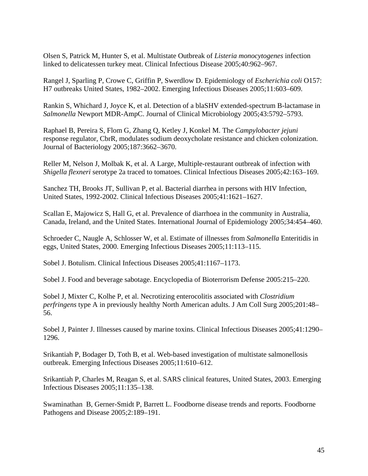Olsen S, Patrick M, Hunter S, et al. Multistate Outbreak of *Listeria monocytogenes* infection linked to delicatessen turkey meat. Clinical Infectious Disease 2005;40:962–967.

Rangel J, Sparling P, Crowe C, Griffin P, Swerdlow D. Epidemiology of *Escherichia coli* O157: H7 outbreaks United States, 1982–2002. Emerging Infectious Diseases 2005;11:603–609.

Rankin S, Whichard J, Joyce K, et al. Detection of a blaSHV extended-spectrum B-lactamase in *Salmonella* Newport MDR-AmpC. Journal of Clinical Microbiology 2005;43:5792–5793.

Raphael B, Pereira S, Flom G, Zhang Q, Ketley J, Konkel M. The *Campylobacter jejuni*  response regulator, CbrR, modulates sodium deoxycholate resistance and chicken colonization. Journal of Bacteriology 2005;187:3662–3670.

Reller M, Nelson J, Molbak K, et al. A Large, Multiple-restaurant outbreak of infection with *Shigella flexneri* serotype 2a traced to tomatoes. Clinical Infectious Diseases 2005;42:163–169.

Sanchez TH, Brooks JT, Sullivan P, et al. Bacterial diarrhea in persons with HIV Infection, United States, 1992-2002. Clinical Infectious Diseases 2005;41:1621–1627.

Scallan E, Majowicz S, Hall G, et al. Prevalence of diarrhoea in the community in Australia, Canada, Ireland, and the United States. International Journal of Epidemiology 2005;34:454–460.

Schroeder C, Naugle A, Schlosser W, et al. Estimate of illnesses from *Salmonella* Enteritidis in eggs, United States, 2000. Emerging Infectious Diseases 2005;11:113–115.

Sobel J. Botulism. Clinical Infectious Diseases 2005;41:1167–1173.

Sobel J. Food and beverage sabotage. Encyclopedia of Bioterrorism Defense 2005:215–220.

Sobel J, Mixter C, Kolhe P, et al. Necrotizing enterocolitis associated with *Clostridium perfringens* type A in previously healthy North American adults. J Am Coll Surg 2005;201:48– 56.

Sobel J, Painter J. Illnesses caused by marine toxins. Clinical Infectious Diseases 2005;41:1290– 1296.

Srikantiah P, Bodager D, Toth B, et al. Web-based investigation of multistate salmonellosis outbreak. Emerging Infectious Diseases 2005;11:610–612.

Srikantiah P, Charles M, Reagan S, et al. SARS clinical features, United States, 2003. Emerging Infectious Diseases 2005;11:135–138.

Swaminathan B, Gerner-Smidt P, Barrett L. Foodborne disease trends and reports. Foodborne Pathogens and Disease 2005;2:189–191.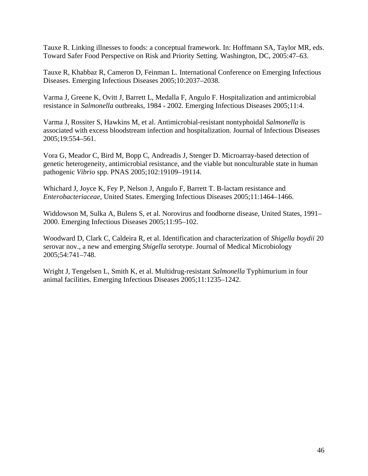Tauxe R. Linking illnesses to foods: a conceptual framework. In: Hoffmann SA, Taylor MR, eds. Toward Safer Food Perspective on Risk and Priority Setting. Washington, DC, 2005:47–63.

Tauxe R, Khabbaz R, Cameron D, Feinman L. International Conference on Emerging Infectious Diseases. Emerging Infectious Diseases 2005;10:2037–2038.

Varma J, Greene K, Ovitt J, Barrett L, Medalla F, Angulo F. Hospitalization and antimicrobial resistance in *Salmonella* outbreaks, 1984 - 2002. Emerging Infectious Diseases 2005;11:4.

Varma J, Rossiter S, Hawkins M, et al. Antimicrobial-resistant nontyphoidal *Salmonella* is associated with excess bloodstream infection and hospitalization. Journal of Infectious Diseases 2005;19:554–561.

Vora G, Meador C, Bird M, Bopp C, Andreadis J, Stenger D. Microarray-based detection of genetic heterogeneity, antimicrobial resistance, and the viable but nonculturable state in human pathogenic *Vibrio* spp. PNAS 2005;102:19109–19114.

Whichard J, Joyce K, Fey P, Nelson J, Angulo F, Barrett T. B-lactam resistance and *Enterobacteriaceae*, United States. Emerging Infectious Diseases 2005;11:1464–1466.

Widdowson M, Sulka A, Bulens S, et al. Norovirus and foodborne disease, United States, 1991– 2000. Emerging Infectious Diseases 2005;11:95–102.

Woodward D, Clark C, Caldeira R, et al. Identification and characterization of *Shigella boydii* 20 serovar nov., a new and emerging *Shigella* serotype. Journal of Medical Microbiology 2005;54:741–748.

Wright J, Tengelsen L, Smith K, et al. Multidrug-resistant *Salmonella* Typhimurium in four animal facilities. Emerging Infectious Diseases 2005;11:1235–1242.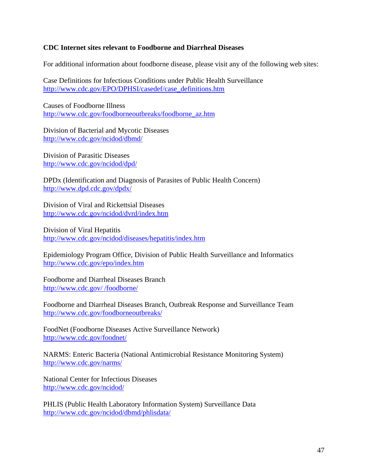### **CDC Internet sites relevant to Foodborne and Diarrheal Diseases**

For additional information about foodborne disease, please visit any of the following web sites:

Case Definitions for Infectious Conditions under Public Health Surveillance http://www.cdc.gov/EPO/DPHSI/casedef/case\_definitions.htm

Causes of Foodborne Illness [http://www.cdc.gov/foodborneoutbreaks/foodborne\\_az.htm](http://www.cdc.gov/foodborneoutbreaks/foodborne_az.htm) 

Division of Bacterial and Mycotic Diseases http://www.cdc.gov/ncidod/dbmd/

Division of Parasitic Diseases http://www.cdc.gov/ncidod/dpd/

DPDx (Identification and Diagnosis of Parasites of Public Health Concern) http://www.dpd.cdc.gov/dpdx/

Division of Viral and Rickettsial Diseases <http://www.cdc.gov/ncidod/dvrd/index.htm>

Division of Viral Hepatitis http://www.cdc.gov/ncidod/diseases/hepatitis/index.htm

Epidemiology Program Office, Division of Public Health Surveillance and Informatics http://www.cdc.gov/epo/index.htm

Foodborne and Diarrheal Diseases Branch http://www.cdc.gov/ /foodborne/

Foodborne and Diarrheal Diseases Branch, Outbreak Response and Surveillance Team http://www.cdc.gov/foodborneoutbreaks/

FoodNet (Foodborne Diseases Active Surveillance Network) <http://www.cdc.gov/foodnet/>

NARMS: Enteric Bacteria (National Antimicrobial Resistance Monitoring System) <http://www.cdc.gov/narms/>

National Center for Infectious Diseases <http://www.cdc.gov/ncidod/>

PHLIS (Public Health Laboratory Information System) Surveillance Data http://www.cdc.gov/ncidod/dbmd/phlisdata/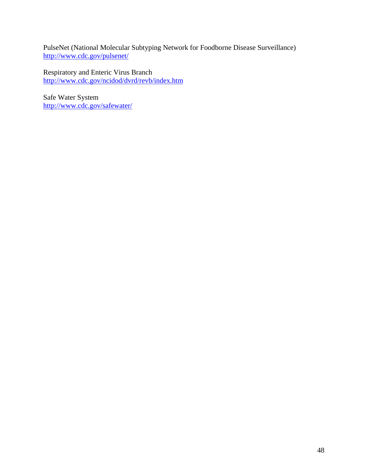PulseNet (National Molecular Subtyping Network for Foodborne Disease Surveillance) <http://www.cdc.gov/pulsenet/>

Respiratory and Enteric Virus Branch http://www.cdc.gov/ncidod/dvrd/revb/index.htm

Safe Water System http://www.cdc.gov/safewater/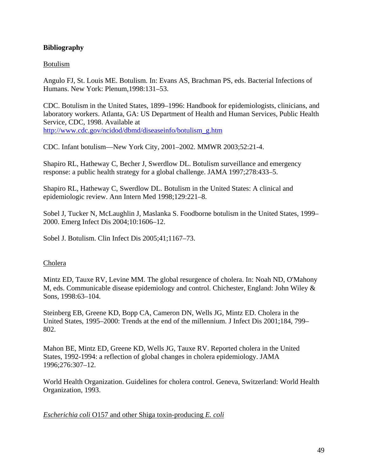# **Bibliography**

### Botulism

Angulo FJ, St. Louis ME. Botulism. In: Evans AS, Brachman PS, eds. Bacterial Infections of Humans. New York: Plenum,1998:131–53.

CDC. Botulism in the United States, 1899–1996: Handbook for epidemiologists, clinicians, and laboratory workers. Atlanta, GA: US Department of Health and Human Services, Public Health Service, CDC, 1998. Available at [http://www.cdc.gov/ncidod/dbmd/diseaseinfo/botulism\\_g.htm](http://www.cdc.gov/ncidod/dbmd/diseaseinfo/botulism_g.htm)

CDC. Infant botulism—New York City, 2001–2002. MMWR 2003;52:21-4.

Shapiro RL, Hatheway C, Becher J, Swerdlow DL. Botulism surveillance and emergency response: a public health strategy for a global challenge. JAMA 1997;278:433–5.

Shapiro RL, Hatheway C, Swerdlow DL. Botulism in the United States: A clinical and epidemiologic review. Ann Intern Med 1998;129:221–8.

Sobel J, Tucker N, McLaughlin J, Maslanka S. Foodborne botulism in the United States, 1999– 2000. Emerg Infect Dis 2004;10:1606–12.

Sobel J. Botulism. Clin Infect Dis 2005;41;1167–73.

#### Cholera

Mintz ED, Tauxe RV, Levine MM. The global resurgence of cholera. In: Noah ND, O'Mahony M, eds. Communicable disease epidemiology and control. Chichester, England: John Wiley & Sons, 1998:63–104.

Steinberg EB, Greene KD, Bopp CA, Cameron DN, Wells JG, Mintz ED. Cholera in the United States, 1995–2000: Trends at the end of the millennium. J Infect Dis 2001;184, 799– 802.

Mahon BE, Mintz ED, Greene KD, Wells JG, Tauxe RV. Reported cholera in the United States, 1992-1994: a reflection of global changes in cholera epidemiology. JAMA 1996;276:307–12.

World Health Organization. Guidelines for cholera control. Geneva, Switzerland: World Health Organization, 1993.

*Escherichia coli* O157 and other Shiga toxin-producing *E. coli*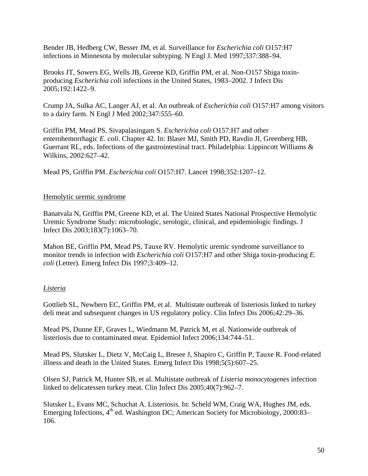Bender JB, Hedberg CW, Besser JM, et al. Surveillance for *Escherichia coli* O157:H7 infections in Minnesota by molecular subtyping. N Engl J. Med 1997;337:388–94.

Brooks JT, Sowers EG, Wells JB, Greene KD, Griffin PM, et al. Non-O157 Shiga toxinproducing *Escherichia coli* infections in the United States, 1983–2002. J Infect Dis 2005;192:1422–9.

Crump JA, Sulka AC, Langer AJ, et al. An outbreak of *Escherichia coli* O157:H7 among visitors to a dairy farm. N Engl J Med 2002;347:555–60.

Griffin PM, Mead PS, Sivapalasingam S. *Escherichia coli* O157:H7 and other enterohemorrhagic *E. coli*. Chapter 42. In: Blaser MJ, Smith PD, Ravdin JI, Greenberg HB, Guerrant RL, eds. Infections of the gastrointestinal tract. Philadelphia: Lippincott Williams & Wilkins, 2002:627–42.

Mead PS, Griffin PM. *Escherichia coli* O157:H7. Lancet 1998;352:1207–12.

### Hemolytic uremic syndrome

Banatvala N, Griffin PM, Greene KD, et al. The United States National Prospective Hemolytic Uremic Syndrome Study: microbiologic, serologic, clinical, and epidemiologic findings. J Infect Dis 2003;183(7):1063–70.

Mahon BE, Griffin PM, Mead PS, Tauxe RV. Hemolytic uremic syndrome surveillance to monitor trends in infection with *Escherichia coli* O157:H7 and other Shiga toxin-producing *E. coli* (Letter). Emerg Infect Dis 1997;3:409–12.

# *Listeria*

Gottlieb SL, Newbern EC, Griffin PM, et al. Multistate outbreak of listeriosis linked to turkey deli meat and subsequent changes in US regulatory policy. Clin Infect Dis 2006;42:29–36.

Mead PS, Dunne EF, Graves L, Wiedmann M, Patrick M, et al. Nationwide outbreak of listeriosis due to contaminated meat. Epidemiol Infect 2006;134:744–51.

Mead PS, Slutsker L, Dietz V, McCaig L, Bresee J, Shapiro C, Griffin P, Tauxe R. Food-related illness and death in the United States. Emerg Infect Dis 1998;5(5):607–25.

Olsen SJ, Patrick M, Hunter SB, et al. Multistate outbreak of *Listeria monocytogenes* infection linked to delicatessen turkey meat. Clin Infect Dis 2005;40(7):962–7.

Slutsker L, Evans MC, Schuchat A. Listeriosis. In: Scheld WM, Craig WA, Hughes JM, eds. Emerging Infections,  $4<sup>th</sup>$  ed. Washington DC; American Society for Microbiology, 2000:83– 106.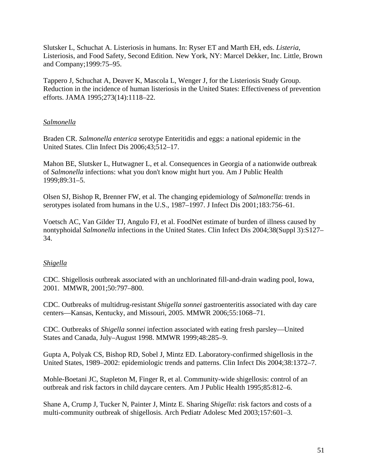Slutsker L, Schuchat A. Listeriosis in humans. In: Ryser ET and Marth EH, eds. *Listeria*, Listeriosis, and Food Safety, Second Edition. New York, NY: Marcel Dekker, Inc. Little, Brown and Company;1999:75–95.

Tappero J, Schuchat A, Deaver K, Mascola L, Wenger J, for the Listeriosis Study Group. Reduction in the incidence of human listeriosis in the United States: Effectiveness of prevention efforts. JAMA 1995;273(14):1118–22.

# *Salmonella*

Braden CR. *Salmonella enterica* serotype Enteritidis and eggs: a national epidemic in the United States. Clin Infect Dis 2006;43;512–17.

Mahon BE, Slutsker L, Hutwagner L, et al. Consequences in Georgia of a nationwide outbreak of *Salmonella* infections: what you don't know might hurt you. Am J Public Health 1999;89:31–5.

Olsen SJ, Bishop R, Brenner FW, et al. The changing epidemiology of *Salmonella*: trends in serotypes isolated from humans in the U.S., 1987–1997. J Infect Dis 2001;183:756–61.

Voetsch AC, Van Gilder TJ, Angulo FJ, et al. FoodNet estimate of burden of illness caused by nontyphoidal *Salmonella* infections in the United States. Clin Infect Dis 2004;38(Suppl 3):S127– 34.

# *Shigella*

CDC. Shigellosis outbreak associated with an unchlorinated fill-and-drain wading pool, Iowa, 2001. MMWR, 2001;50:797–800.

CDC. Outbreaks of multidrug-resistant *Shigella sonnei* gastroenteritis associated with day care centers—Kansas, Kentucky, and Missouri, 2005. MMWR 2006;55:1068–71.

CDC. Outbreaks of *Shigella sonnei* infection associated with eating fresh parsley—United States and Canada, July–August 1998. MMWR 1999;48:285–9.

Gupta A, Polyak CS, Bishop RD, Sobel J, Mintz ED. Laboratory-confirmed shigellosis in the United States, 1989–2002: epidemiologic trends and patterns. Clin Infect Dis 2004;38:1372–7.

Mohle-Boetani JC, Stapleton M, Finger R, et al. Community-wide shigellosis: control of an outbreak and risk factors in child daycare centers. Am J Public Health 1995;85:812–6.

Shane A, Crump J, Tucker N, Painter J, Mintz E. Sharing *Shigella*: risk factors and costs of a multi-community outbreak of shigellosis. Arch Pediatr Adolesc Med 2003;157:601–3.